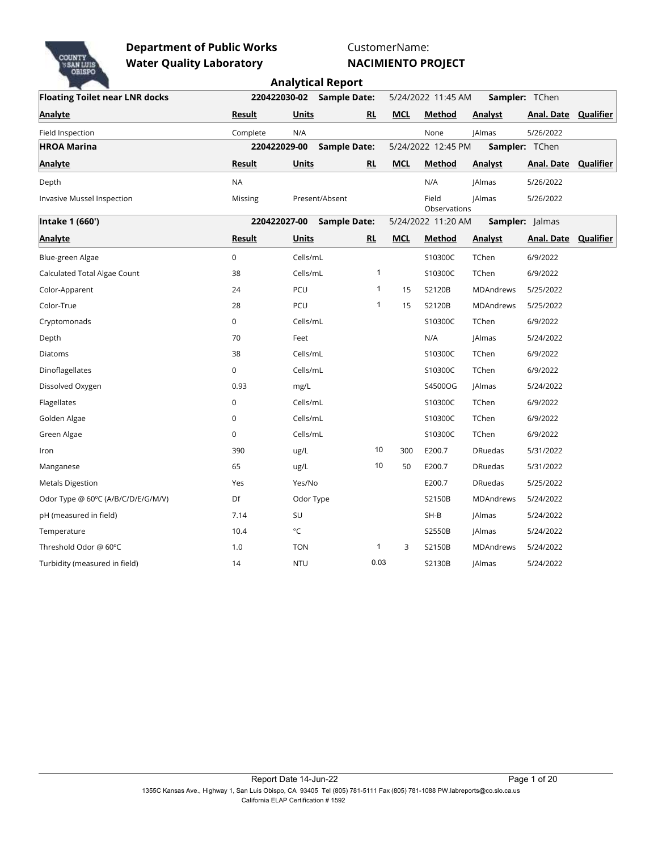

CustomerName:

|                                       |               |              |                     |              |            |                       |                  |                             | <b>Analytical Report</b> |  |  |  |  |  |  |  |  |  |  |
|---------------------------------------|---------------|--------------|---------------------|--------------|------------|-----------------------|------------------|-----------------------------|--------------------------|--|--|--|--|--|--|--|--|--|--|
| <b>Floating Toilet near LNR docks</b> |               | 220422030-02 | <b>Sample Date:</b> |              |            | 5/24/2022 11:45 AM    |                  | Sampler: TChen              |                          |  |  |  |  |  |  |  |  |  |  |
| Analyte                               | <u>Result</u> | <u>Units</u> | <b>RL</b>           |              | <b>MCL</b> | Method                | <b>Analyst</b>   | <b>Anal. Date Qualifier</b> |                          |  |  |  |  |  |  |  |  |  |  |
| Field Inspection                      | Complete      | N/A          |                     |              |            | None                  | <b>JAlmas</b>    | 5/26/2022                   |                          |  |  |  |  |  |  |  |  |  |  |
| <b>HROA Marina</b>                    |               | 220422029-00 | <b>Sample Date:</b> |              |            | 5/24/2022 12:45 PM    |                  | Sampler: TChen              |                          |  |  |  |  |  |  |  |  |  |  |
| <b>Analyte</b>                        | <b>Result</b> | <b>Units</b> | <b>RL</b>           |              | <b>MCL</b> | <b>Method</b>         | <b>Analyst</b>   | <b>Anal. Date Qualifier</b> |                          |  |  |  |  |  |  |  |  |  |  |
| Depth                                 | <b>NA</b>     |              |                     |              |            | N/A                   | <b>JAlmas</b>    | 5/26/2022                   |                          |  |  |  |  |  |  |  |  |  |  |
| Invasive Mussel Inspection            | Missing       |              | Present/Absent      |              |            | Field<br>Observations | <b>JAlmas</b>    | 5/26/2022                   |                          |  |  |  |  |  |  |  |  |  |  |
| Intake 1 (660')                       |               | 220422027-00 | <b>Sample Date:</b> |              |            | 5/24/2022 11:20 AM    |                  | Sampler: Jalmas             |                          |  |  |  |  |  |  |  |  |  |  |
| Analyte                               | Result        | Units        | RL                  |              | <b>MCL</b> | Method                | <b>Analyst</b>   | Anal. Date Qualifier        |                          |  |  |  |  |  |  |  |  |  |  |
| Blue-green Algae                      | $\mathbf 0$   | Cells/mL     |                     |              |            | S10300C               | TChen            | 6/9/2022                    |                          |  |  |  |  |  |  |  |  |  |  |
| Calculated Total Algae Count          | 38            | Cells/mL     |                     | $\mathbf{1}$ |            | S10300C               | TChen            | 6/9/2022                    |                          |  |  |  |  |  |  |  |  |  |  |
| Color-Apparent                        | 24            | PCU          |                     | $\mathbf{1}$ | 15         | S2120B                | <b>MDAndrews</b> | 5/25/2022                   |                          |  |  |  |  |  |  |  |  |  |  |
| Color-True                            | 28            | PCU          |                     | $\mathbf{1}$ | 15         | S2120B                | <b>MDAndrews</b> | 5/25/2022                   |                          |  |  |  |  |  |  |  |  |  |  |
| Cryptomonads                          | $\mathbf 0$   | Cells/mL     |                     |              |            | S10300C               | TChen            | 6/9/2022                    |                          |  |  |  |  |  |  |  |  |  |  |
| Depth                                 | 70            | Feet         |                     |              |            | N/A                   | <b>JAlmas</b>    | 5/24/2022                   |                          |  |  |  |  |  |  |  |  |  |  |
| Diatoms                               | 38            | Cells/mL     |                     |              |            | S10300C               | TChen            | 6/9/2022                    |                          |  |  |  |  |  |  |  |  |  |  |
| Dinoflagellates                       | $\mathbf 0$   | Cells/mL     |                     |              |            | S10300C               | TChen            | 6/9/2022                    |                          |  |  |  |  |  |  |  |  |  |  |
| Dissolved Oxygen                      | 0.93          | mg/L         |                     |              |            | S4500OG               | <b>JAlmas</b>    | 5/24/2022                   |                          |  |  |  |  |  |  |  |  |  |  |
| Flagellates                           | $\mathbf 0$   | Cells/mL     |                     |              |            | S10300C               | TChen            | 6/9/2022                    |                          |  |  |  |  |  |  |  |  |  |  |
| Golden Algae                          | $\mathbf 0$   | Cells/mL     |                     |              |            | S10300C               | TChen            | 6/9/2022                    |                          |  |  |  |  |  |  |  |  |  |  |
| Green Algae                           | $\Omega$      | Cells/mL     |                     |              |            | S10300C               | TChen            | 6/9/2022                    |                          |  |  |  |  |  |  |  |  |  |  |
| Iron                                  | 390           | ug/L         |                     | 10           | 300        | E200.7                | <b>DRuedas</b>   | 5/31/2022                   |                          |  |  |  |  |  |  |  |  |  |  |
| Manganese                             | 65            | ug/L         |                     | 10           | 50         | E200.7                | <b>DRuedas</b>   | 5/31/2022                   |                          |  |  |  |  |  |  |  |  |  |  |
| <b>Metals Digestion</b>               | Yes           | Yes/No       |                     |              |            | E200.7                | <b>DRuedas</b>   | 5/25/2022                   |                          |  |  |  |  |  |  |  |  |  |  |
| Odor Type @ 60°C (A/B/C/D/E/G/M/V)    | Df            | Odor Type    |                     |              |            | S2150B                | MDAndrews        | 5/24/2022                   |                          |  |  |  |  |  |  |  |  |  |  |
| pH (measured in field)                | 7.14          | SU           |                     |              |            | $SH-B$                | <b>JAlmas</b>    | 5/24/2022                   |                          |  |  |  |  |  |  |  |  |  |  |
| Temperature                           | 10.4          | °C           |                     |              |            | S2550B                | <b>JAlmas</b>    | 5/24/2022                   |                          |  |  |  |  |  |  |  |  |  |  |
| Threshold Odor @ 60°C                 | 1.0           | <b>TON</b>   |                     | $\mathbf{1}$ | 3          | S2150B                | MDAndrews        | 5/24/2022                   |                          |  |  |  |  |  |  |  |  |  |  |
| Turbidity (measured in field)         | 14            | <b>NTU</b>   |                     | 0.03         |            | S2130B                | <b>JAlmas</b>    | 5/24/2022                   |                          |  |  |  |  |  |  |  |  |  |  |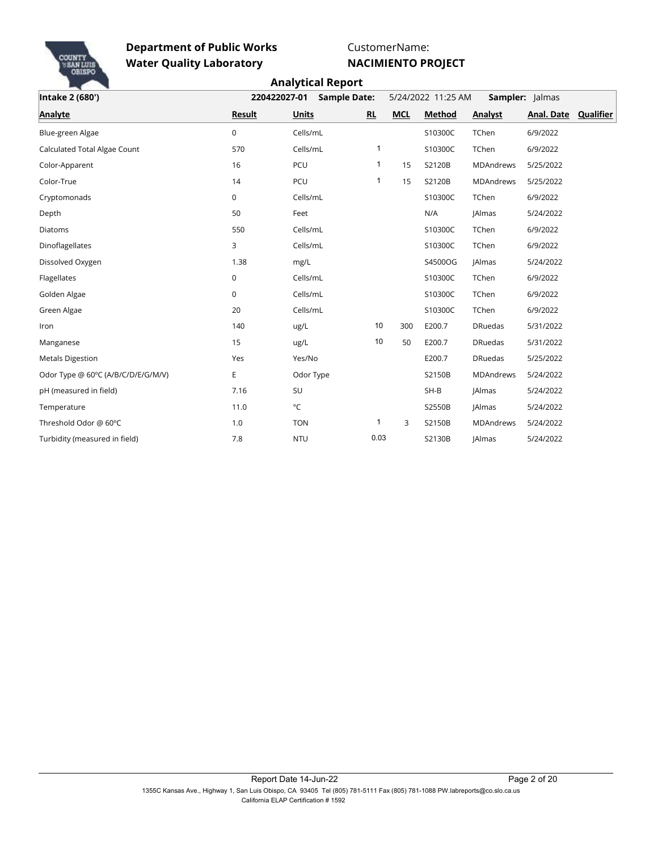

CustomerName: **NACIMIENTO PROJECT**

| Intake 2 (680')                    | 220422027-01<br><b>Sample Date:</b> |              |              | 5/24/2022 11:25 AM | <b>Sampler:</b> Jalmas |                |                      |  |
|------------------------------------|-------------------------------------|--------------|--------------|--------------------|------------------------|----------------|----------------------|--|
| <b>Analyte</b>                     | Result                              | <b>Units</b> | RL           | <b>MCL</b>         | Method                 | <b>Analyst</b> | Anal. Date Qualifier |  |
| Blue-green Algae                   | $\mathbf 0$                         | Cells/mL     |              |                    | S10300C                | TChen          | 6/9/2022             |  |
| Calculated Total Algae Count       | 570                                 | Cells/mL     | 1            |                    | S10300C                | TChen          | 6/9/2022             |  |
| Color-Apparent                     | 16                                  | PCU          | 1            | 15                 | S2120B                 | MDAndrews      | 5/25/2022            |  |
| Color-True                         | 14                                  | PCU          | $\mathbf{1}$ | 15                 | S2120B                 | MDAndrews      | 5/25/2022            |  |
| Cryptomonads                       | $\mathbf 0$                         | Cells/mL     |              |                    | S10300C                | TChen          | 6/9/2022             |  |
| Depth                              | 50                                  | Feet         |              |                    | N/A                    | <b>JAlmas</b>  | 5/24/2022            |  |
| Diatoms                            | 550                                 | Cells/mL     |              |                    | S10300C                | TChen          | 6/9/2022             |  |
| Dinoflagellates                    | 3                                   | Cells/mL     |              |                    | S10300C                | TChen          | 6/9/2022             |  |
| Dissolved Oxygen                   | 1.38                                | mg/L         |              |                    | S4500OG                | <b>JAlmas</b>  | 5/24/2022            |  |
| Flagellates                        | $\mathbf 0$                         | Cells/mL     |              |                    | S10300C                | TChen          | 6/9/2022             |  |
| Golden Algae                       | $\mathbf 0$                         | Cells/mL     |              |                    | S10300C                | TChen          | 6/9/2022             |  |
| Green Algae                        | 20                                  | Cells/mL     |              |                    | S10300C                | TChen          | 6/9/2022             |  |
| Iron                               | 140                                 | ug/L         | 10           | 300                | E200.7                 | <b>DRuedas</b> | 5/31/2022            |  |
| Manganese                          | 15                                  | ug/L         | 10           | 50                 | E200.7                 | <b>DRuedas</b> | 5/31/2022            |  |
| <b>Metals Digestion</b>            | Yes                                 | Yes/No       |              |                    | E200.7                 | <b>DRuedas</b> | 5/25/2022            |  |
| Odor Type @ 60°C (A/B/C/D/E/G/M/V) | E                                   | Odor Type    |              |                    | S2150B                 | MDAndrews      | 5/24/2022            |  |
| pH (measured in field)             | 7.16                                | SU           |              |                    | $SH-B$                 | <b>JAlmas</b>  | 5/24/2022            |  |
| Temperature                        | 11.0                                | $^{\circ}$ C |              |                    | S2550B                 | <b>JAlmas</b>  | 5/24/2022            |  |
| Threshold Odor @ 60°C              | 1.0                                 | <b>TON</b>   | 1            | 3                  | S2150B                 | MDAndrews      | 5/24/2022            |  |
| Turbidity (measured in field)      | 7.8                                 | <b>NTU</b>   | 0.03         |                    | S2130B                 | <b>JAlmas</b>  | 5/24/2022            |  |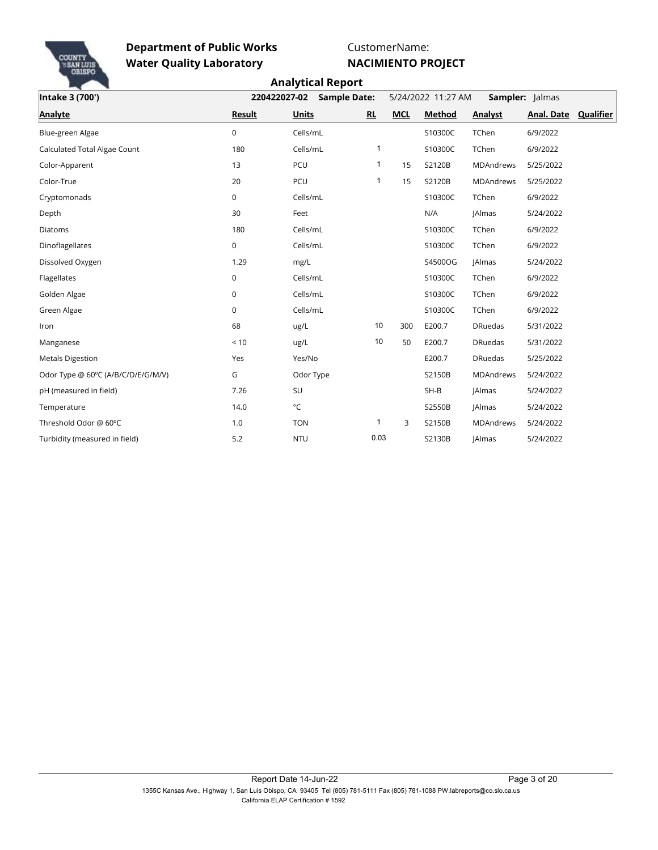

CustomerName:

|                                    |              | <b>Analytical Report</b> |              |                                       |               |                  |                      |  |  |
|------------------------------------|--------------|--------------------------|--------------|---------------------------------------|---------------|------------------|----------------------|--|--|
| Intake 3 (700')                    | 220422027-02 | <b>Sample Date:</b>      |              | 5/24/2022 11:27 AM<br>Sampler: Jalmas |               |                  |                      |  |  |
| <b>Analyte</b>                     | Result       | <b>Units</b>             | RL           | <b>MCL</b>                            | <b>Method</b> | <b>Analyst</b>   | Anal. Date Qualifier |  |  |
| Blue-green Algae                   | $\mathbf 0$  | Cells/mL                 |              |                                       | S10300C       | TChen            | 6/9/2022             |  |  |
| Calculated Total Algae Count       | 180          | Cells/mL                 | 1            |                                       | S10300C       | TChen            | 6/9/2022             |  |  |
| Color-Apparent                     | 13           | PCU                      | $\mathbf{1}$ | 15                                    | S2120B        | MDAndrews        | 5/25/2022            |  |  |
| Color-True                         | 20           | PCU                      | 1            | 15                                    | S2120B        | <b>MDAndrews</b> | 5/25/2022            |  |  |
| Cryptomonads                       | $\mathbf 0$  | Cells/mL                 |              |                                       | S10300C       | TChen            | 6/9/2022             |  |  |
| Depth                              | 30           | Feet                     |              |                                       | N/A           | <b>JAImas</b>    | 5/24/2022            |  |  |
| Diatoms                            | 180          | Cells/mL                 |              |                                       | S10300C       | TChen            | 6/9/2022             |  |  |
| Dinoflagellates                    | 0            | Cells/mL                 |              |                                       | S10300C       | TChen            | 6/9/2022             |  |  |
| Dissolved Oxygen                   | 1.29         | mg/L                     |              |                                       | S4500OG       | <b>JAlmas</b>    | 5/24/2022            |  |  |
| Flagellates                        | $\mathbf 0$  | Cells/mL                 |              |                                       | S10300C       | TChen            | 6/9/2022             |  |  |
| Golden Algae                       | $\mathbf 0$  | Cells/mL                 |              |                                       | S10300C       | TChen            | 6/9/2022             |  |  |
| Green Algae                        | $\mathbf 0$  | Cells/mL                 |              |                                       | S10300C       | TChen            | 6/9/2022             |  |  |
| Iron                               | 68           | ug/L                     | 10           | 300                                   | E200.7        | <b>DRuedas</b>   | 5/31/2022            |  |  |
| Manganese                          | < 10         | ug/L                     | 10           | 50                                    | E200.7        | <b>DRuedas</b>   | 5/31/2022            |  |  |
| <b>Metals Digestion</b>            | Yes          | Yes/No                   |              |                                       | E200.7        | <b>DRuedas</b>   | 5/25/2022            |  |  |
| Odor Type @ 60°C (A/B/C/D/E/G/M/V) | G            | Odor Type                |              |                                       | S2150B        | <b>MDAndrews</b> | 5/24/2022            |  |  |
| pH (measured in field)             | 7.26         | SU                       |              |                                       | $SH-B$        | <b>JAlmas</b>    | 5/24/2022            |  |  |
| Temperature                        | 14.0         | $^{\circ}$ C             |              |                                       | S2550B        | <b>JAlmas</b>    | 5/24/2022            |  |  |
| Threshold Odor @ 60°C              | 1.0          | <b>TON</b>               | 1            | 3                                     | S2150B        | <b>MDAndrews</b> | 5/24/2022            |  |  |
| Turbidity (measured in field)      | 5.2          | <b>NTU</b>               | 0.03         |                                       | S2130B        | <b>JAImas</b>    | 5/24/2022            |  |  |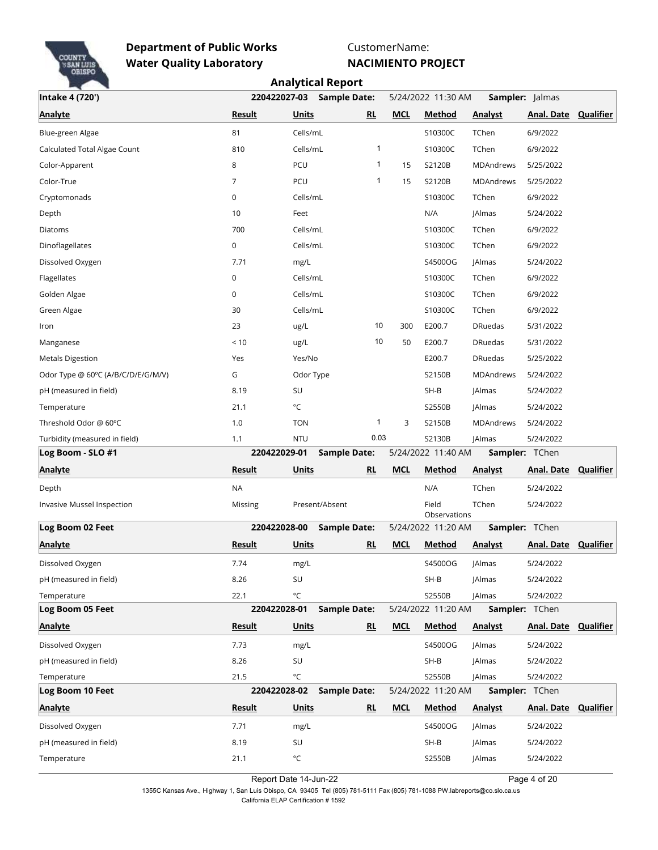

CustomerName:

**NACIMIENTO PROJECT**

|                                    |                |                       | <b>Analytical Report</b> |                           |                    |                       |                |                             |           |
|------------------------------------|----------------|-----------------------|--------------------------|---------------------------|--------------------|-----------------------|----------------|-----------------------------|-----------|
| Intake 4 (720')                    |                | 220422027-03          | <b>Sample Date:</b>      |                           | 5/24/2022 11:30 AM |                       |                | Sampler: Jalmas             |           |
| <b>Analyte</b>                     | <b>Result</b>  | <b>Units</b>          |                          | RL                        | <b>MCL</b>         | Method                | <b>Analyst</b> | <b>Anal. Date</b>           | Qualifier |
| Blue-green Algae                   | 81             | Cells/mL              |                          |                           |                    | S10300C               | TChen          | 6/9/2022                    |           |
| Calculated Total Algae Count       | 810            | Cells/mL              |                          | 1                         |                    | S10300C               | TChen          | 6/9/2022                    |           |
| Color-Apparent                     | 8              | PCU                   |                          | 1                         | 15                 | S2120B                | MDAndrews      | 5/25/2022                   |           |
| Color-True                         | $\overline{7}$ | PCU                   |                          | 1                         | 15                 | S2120B                | MDAndrews      | 5/25/2022                   |           |
| Cryptomonads                       | 0              | Cells/mL              |                          |                           |                    | S10300C               | TChen          | 6/9/2022                    |           |
| Depth                              | 10             | Feet                  |                          |                           |                    | N/A                   | <b>JAlmas</b>  | 5/24/2022                   |           |
| Diatoms                            | 700            | Cells/mL              |                          |                           |                    | S10300C               | TChen          | 6/9/2022                    |           |
| Dinoflagellates                    | 0              | Cells/mL              |                          |                           |                    | S10300C               | TChen          | 6/9/2022                    |           |
| Dissolved Oxygen                   | 7.71           | mg/L                  |                          |                           |                    | S4500OG               | <b>JAlmas</b>  | 5/24/2022                   |           |
| Flagellates                        | $\mathbf 0$    | Cells/mL              |                          |                           |                    | S10300C               | TChen          | 6/9/2022                    |           |
| Golden Algae                       | 0              | Cells/mL              |                          |                           |                    | S10300C               | TChen          | 6/9/2022                    |           |
| Green Algae                        | 30             | Cells/mL              |                          |                           |                    | S10300C               | TChen          | 6/9/2022                    |           |
| Iron                               | 23             | ug/L                  |                          | 10                        | 300                | E200.7                | <b>DRuedas</b> | 5/31/2022                   |           |
| Manganese                          | < 10           | ug/L                  |                          | 10                        | 50                 | E200.7                | <b>DRuedas</b> | 5/31/2022                   |           |
| <b>Metals Digestion</b>            | Yes            | Yes/No                |                          |                           |                    | E200.7                | <b>DRuedas</b> | 5/25/2022                   |           |
| Odor Type @ 60°C (A/B/C/D/E/G/M/V) | G              | Odor Type             |                          |                           |                    | S2150B                | MDAndrews      | 5/24/2022                   |           |
| pH (measured in field)             | 8.19           | SU                    |                          |                           |                    | $SH-B$                | <b>JAlmas</b>  | 5/24/2022                   |           |
| Temperature                        | 21.1           | °C                    |                          |                           |                    | S2550B                | <b>JAlmas</b>  | 5/24/2022                   |           |
| Threshold Odor @ 60°C              | 1.0            | <b>TON</b>            |                          | 1                         | 3                  | S2150B                | MDAndrews      | 5/24/2022                   |           |
| Turbidity (measured in field)      | 1.1            | <b>NTU</b>            |                          | 0.03                      |                    | S2130B                | JAlmas         | 5/24/2022                   |           |
| Log Boom - SLO #1                  |                | 220422029-01          | <b>Sample Date:</b>      |                           |                    | 5/24/2022 11:40 AM    |                | Sampler: TChen              |           |
| <b>Analyte</b>                     | <b>Result</b>  | <b>Units</b>          |                          | RL                        | <b>MCL</b>         | <u>Method</u>         | <b>Analyst</b> | Anal. Date Qualifier        |           |
| Depth                              | <b>NA</b>      |                       |                          |                           |                    | N/A                   | TChen          | 5/24/2022                   |           |
| Invasive Mussel Inspection         | Missing        |                       | Present/Absent           |                           |                    | Field<br>Observations | TChen          | 5/24/2022                   |           |
| Log Boom 02 Feet                   |                | 220422028-00          | <b>Sample Date:</b>      |                           |                    | 5/24/2022 11:20 AM    |                | Sampler: TChen              |           |
| <b>Analyte</b>                     | Result         | Units                 |                          | RL                        | <b>MCL</b>         | Method                | <b>Analyst</b> | Anal. Date Qualifier        |           |
| Dissolved Oxygen                   | 7.74           | mg/L                  |                          |                           |                    | S4500OG               | JAlmas         | 5/24/2022                   |           |
| pH (measured in field)             | 8.26           | SU                    |                          |                           |                    | SH-B                  | JAlmas         | 5/24/2022                   |           |
| Temperature                        | 22.1           | $^{\circ}{\mathsf C}$ |                          |                           |                    | S2550B                | JAlmas         | 5/24/2022                   |           |
| Log Boom 05 Feet                   |                | 220422028-01          | <b>Sample Date:</b>      |                           |                    | 5/24/2022 11:20 AM    |                | <b>Sampler: TChen</b>       |           |
| <b>Analyte</b>                     | <b>Result</b>  | <b>Units</b>          |                          | RL                        | <b>MCL</b>         | <b>Method</b>         | <b>Analyst</b> | <b>Anal. Date Qualifier</b> |           |
| Dissolved Oxygen                   | 7.73           | mg/L                  |                          |                           |                    | S4500OG               | JAlmas         | 5/24/2022                   |           |
| pH (measured in field)             | 8.26           | SU                    |                          |                           |                    | SH-B                  | <b>JAlmas</b>  | 5/24/2022                   |           |
| Temperature                        | 21.5           | $^{\circ}{\sf C}$     |                          |                           |                    | S2550B                | <b>JAlmas</b>  | 5/24/2022                   |           |
| Log Boom 10 Feet                   |                | 220422028-02          | <b>Sample Date:</b>      |                           |                    | 5/24/2022 11:20 AM    |                | Sampler: TChen              |           |
| <b>Analyte</b>                     | <u>Result</u>  | <b>Units</b>          |                          | $\underline{\mathsf{RL}}$ | <b>MCL</b>         | <b>Method</b>         | <b>Analyst</b> | <b>Anal. Date Qualifier</b> |           |
| Dissolved Oxygen                   | 7.71           | mg/L                  |                          |                           |                    | S4500OG               | JAlmas         | 5/24/2022                   |           |
| pH (measured in field)             | 8.19           | SU                    |                          |                           |                    | SH-B                  | <b>JAlmas</b>  | 5/24/2022                   |           |
| Temperature                        | 21.1           | $^{\circ}{\sf C}$     |                          |                           |                    | S2550B                | JAlmas         | 5/24/2022                   |           |

Report Date 14-Jun-22 Page 4 of 20

1355C Kansas Ave., Highway 1, San Luis Obispo, CA 93405 Tel (805) 781-5111 Fax (805) 781-1088 PW.labreports@co.slo.ca.us California ELAP Certification # 1592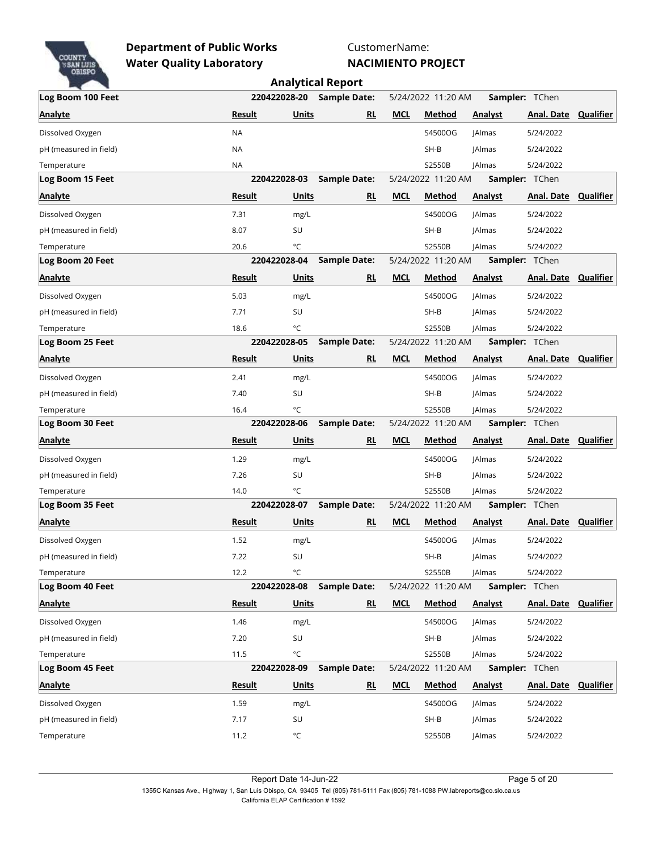

CustomerName:

|                        |               |              | <b>Analytical Report</b> |            |                    |                |                             |           |
|------------------------|---------------|--------------|--------------------------|------------|--------------------|----------------|-----------------------------|-----------|
| Log Boom 100 Feet      |               | 220422028-20 | <b>Sample Date:</b>      |            | 5/24/2022 11:20 AM |                | Sampler: TChen              |           |
| <b>Analyte</b>         | Result        | <b>Units</b> | RL                       | <b>MCL</b> | Method             | <b>Analyst</b> | <b>Anal. Date Qualifier</b> |           |
| Dissolved Oxygen       | <b>NA</b>     |              |                          |            | S4500OG            | <b>JAlmas</b>  | 5/24/2022                   |           |
| pH (measured in field) | <b>NA</b>     |              |                          |            | $SH-B$             | <b>JAlmas</b>  | 5/24/2022                   |           |
| Temperature            | <b>NA</b>     |              |                          |            | S2550B             | <b>JAlmas</b>  | 5/24/2022                   |           |
| Log Boom 15 Feet       | 220422028-03  |              | <b>Sample Date:</b>      |            | 5/24/2022 11:20 AM |                | <b>Sampler: TChen</b>       |           |
| <b>Analyte</b>         | Result        | <b>Units</b> | <b>RL</b>                | <b>MCL</b> | Method             | <b>Analyst</b> | <b>Anal. Date Qualifier</b> |           |
| Dissolved Oxygen       | 7.31          | mg/L         |                          |            | S4500OG            | <b>JAlmas</b>  | 5/24/2022                   |           |
| pH (measured in field) | 8.07          | SU           |                          |            | SH-B               | <b>JAlmas</b>  | 5/24/2022                   |           |
| Temperature            | 20.6          | °C           |                          |            | S2550B             | <b>JAlmas</b>  | 5/24/2022                   |           |
| Log Boom 20 Feet       | 220422028-04  |              | <b>Sample Date:</b>      |            | 5/24/2022 11:20 AM |                | Sampler: TChen              |           |
| <b>Analyte</b>         | Result        | <b>Units</b> | <b>RL</b>                | <b>MCL</b> | Method             | <b>Analyst</b> | <b>Anal. Date Qualifier</b> |           |
| Dissolved Oxygen       | 5.03          | mg/L         |                          |            | S4500OG            | <b>JAlmas</b>  | 5/24/2022                   |           |
| pH (measured in field) | 7.71          | SU           |                          |            | $SH-B$             | <b>JAlmas</b>  | 5/24/2022                   |           |
| Temperature            | 18.6          | °C           |                          |            | S2550B             | <b>JAlmas</b>  | 5/24/2022                   |           |
| Log Boom 25 Feet       | 220422028-05  |              | <b>Sample Date:</b>      |            | 5/24/2022 11:20 AM |                | Sampler: TChen              |           |
| <b>Analyte</b>         | Result        | Units        | RL                       | <b>MCL</b> | Method             | <b>Analyst</b> | Anal. Date                  | Qualifier |
| Dissolved Oxygen       | 2.41          | mg/L         |                          |            | S4500OG            | <b>JAlmas</b>  | 5/24/2022                   |           |
| pH (measured in field) | 7.40          | SU           |                          |            | $SH-B$             | <b>JAlmas</b>  | 5/24/2022                   |           |
| Temperature            | 16.4          | °C           |                          |            | S2550B             | <b>JAlmas</b>  | 5/24/2022                   |           |
| Log Boom 30 Feet       | 220422028-06  |              | <b>Sample Date:</b>      |            | 5/24/2022 11:20 AM |                | <b>Sampler: TChen</b>       |           |
| <b>Analyte</b>         | <b>Result</b> | Units        | <u>RL</u>                | <b>MCL</b> | <b>Method</b>      | <b>Analyst</b> | <b>Anal. Date Qualifier</b> |           |
| Dissolved Oxygen       | 1.29          | mg/L         |                          |            | S4500OG            | <b>JAlmas</b>  | 5/24/2022                   |           |
| pH (measured in field) | 7.26          | SU           |                          |            | SH-B               | <b>JAlmas</b>  | 5/24/2022                   |           |
| Temperature            | 14.0          | °C           |                          |            | S2550B             | <b>JAlmas</b>  | 5/24/2022                   |           |
| Log Boom 35 Feet       | 220422028-07  |              | <b>Sample Date:</b>      |            | 5/24/2022 11:20 AM |                | Sampler: TChen              |           |
| <b>Analyte</b>         | Result        | Units        | <b>RL</b>                | <b>MCL</b> | Method             | <b>Analyst</b> | <b>Anal. Date Qualifier</b> |           |
| Dissolved Oxygen       | 1.52          | mg/L         |                          |            | S4500OG            | <b>JAlmas</b>  | 5/24/2022                   |           |
| pH (measured in field) | 7.22          | SU           |                          |            | $SH-B$             | JAlmas         | 5/24/2022                   |           |
| Temperature            | 12.2          | °C           |                          |            | S2550B             | <b>JAlmas</b>  | 5/24/2022                   |           |
| Log Boom 40 Feet       | 220422028-08  |              | <b>Sample Date:</b>      |            | 5/24/2022 11:20 AM |                | <b>Sampler: TChen</b>       |           |
| <b>Analyte</b>         | <b>Result</b> | <b>Units</b> | RL                       | <b>MCL</b> | <b>Method</b>      | <b>Analyst</b> | <b>Anal. Date Qualifier</b> |           |
| Dissolved Oxygen       | 1.46          | mg/L         |                          |            | S4500OG            | <b>JAlmas</b>  | 5/24/2022                   |           |
| pH (measured in field) | 7.20          | SU           |                          |            | $SH-B$             | <b>JAlmas</b>  | 5/24/2022                   |           |
| Temperature            | 11.5          | °C           |                          |            | S2550B             | <b>JAlmas</b>  | 5/24/2022                   |           |
| Log Boom 45 Feet       | 220422028-09  |              | <b>Sample Date:</b>      |            | 5/24/2022 11:20 AM |                | Sampler: TChen              |           |
| <b>Analyte</b>         | Result        | Units        | RL                       | <b>MCL</b> | Method             | <b>Analyst</b> | <b>Anal. Date Qualifier</b> |           |
| Dissolved Oxygen       | 1.59          | mg/L         |                          |            | S4500OG            | <b>JAlmas</b>  | 5/24/2022                   |           |
| pH (measured in field) | 7.17          | SU           |                          |            | $SH-B$             | <b>JAlmas</b>  | 5/24/2022                   |           |
| Temperature            | 11.2          | °C           |                          |            | S2550B             | JAlmas         | 5/24/2022                   |           |
|                        |               |              |                          |            |                    |                |                             |           |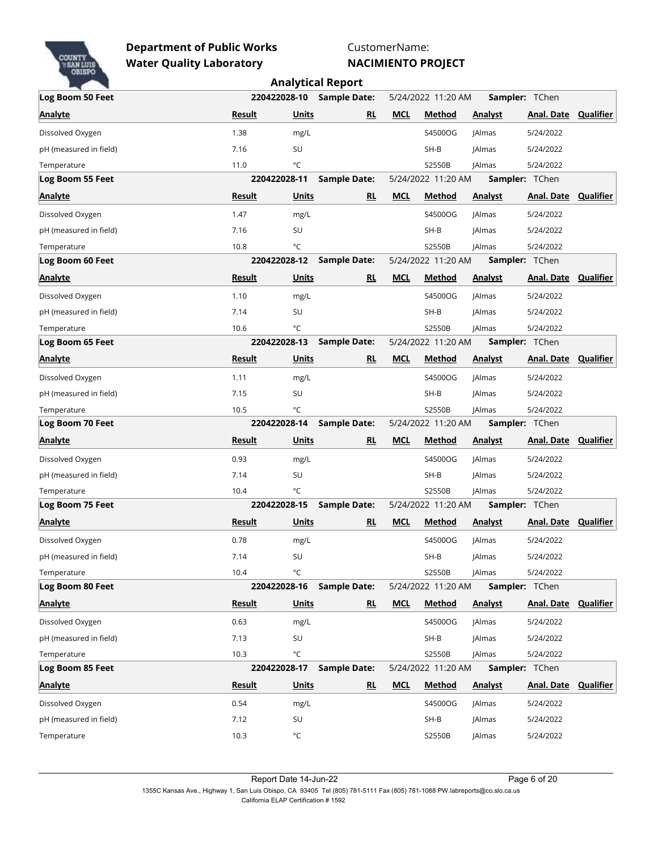

CustomerName:

|                        |               |                   | <b>Analytical Report</b>  |            |                    |                |                             |           |
|------------------------|---------------|-------------------|---------------------------|------------|--------------------|----------------|-----------------------------|-----------|
| Log Boom 50 Feet       |               |                   | 220422028-10 Sample Date: |            | 5/24/2022 11:20 AM |                | Sampler: TChen              |           |
| <b>Analyte</b>         | Result        | Units             | RL                        | <b>MCL</b> | Method             | <b>Analyst</b> | Anal. Date                  | Qualifier |
| Dissolved Oxygen       | 1.38          | mg/L              |                           |            | S4500OG            | <b>JAlmas</b>  | 5/24/2022                   |           |
| pH (measured in field) | 7.16          | SU                |                           |            | SH-B               | <b>JAlmas</b>  | 5/24/2022                   |           |
| Temperature            | 11.0          | °C                |                           |            | S2550B             | <b>JAlmas</b>  | 5/24/2022                   |           |
| Log Boom 55 Feet       | 220422028-11  |                   | <b>Sample Date:</b>       |            | 5/24/2022 11:20 AM |                | <b>Sampler: TChen</b>       |           |
| <b>Analyte</b>         | Result        | Units             | <u>RL</u>                 | <b>MCL</b> | Method             | <b>Analyst</b> | <b>Anal. Date Qualifier</b> |           |
| Dissolved Oxygen       | 1.47          | mg/L              |                           |            | S4500OG            | <b>JAlmas</b>  | 5/24/2022                   |           |
| pH (measured in field) | 7.16          | SU                |                           |            | $SH-B$             | <b>JAlmas</b>  | 5/24/2022                   |           |
| Temperature            | 10.8          | °C                |                           |            | S2550B             | <b>JAlmas</b>  | 5/24/2022                   |           |
| Log Boom 60 Feet       | 220422028-12  |                   | <b>Sample Date:</b>       |            | 5/24/2022 11:20 AM |                | Sampler: TChen              |           |
| <b>Analyte</b>         | Result        | Units             | RL                        | <b>MCL</b> | Method             | <b>Analyst</b> | <b>Anal. Date Qualifier</b> |           |
| Dissolved Oxygen       | 1.10          | mg/L              |                           |            | S4500OG            | <b>JAlmas</b>  | 5/24/2022                   |           |
| pH (measured in field) | 7.14          | SU                |                           |            | $SH-B$             | <b>JAlmas</b>  | 5/24/2022                   |           |
| Temperature            | 10.6          | °C                |                           |            | S2550B             | <b>JAlmas</b>  | 5/24/2022                   |           |
| Log Boom 65 Feet       | 220422028-13  |                   | <b>Sample Date:</b>       |            | 5/24/2022 11:20 AM |                | Sampler: TChen              |           |
| <b>Analyte</b>         | Result        | Units             | RL                        | <b>MCL</b> | Method             | <b>Analyst</b> | <b>Anal. Date</b>           | Qualifier |
| Dissolved Oxygen       | 1.11          | mg/L              |                           |            | S4500OG            | <b>JAlmas</b>  | 5/24/2022                   |           |
| pH (measured in field) | 7.15          | SU                |                           |            | $SH-B$             | <b>JAlmas</b>  | 5/24/2022                   |           |
| Temperature            | 10.5          | °C                |                           |            | S2550B             | <b>JAlmas</b>  | 5/24/2022                   |           |
| Log Boom 70 Feet       | 220422028-14  |                   | <b>Sample Date:</b>       |            | 5/24/2022 11:20 AM |                | Sampler: TChen              |           |
| <b>Analyte</b>         | <b>Result</b> | <b>Units</b>      | <u>RL</u>                 | <b>MCL</b> | <b>Method</b>      | <b>Analyst</b> | <b>Anal. Date Qualifier</b> |           |
| Dissolved Oxygen       | 0.93          | mg/L              |                           |            | S4500OG            | <b>JAlmas</b>  | 5/24/2022                   |           |
| pH (measured in field) | 7.14          | SU                |                           |            | SH-B               | <b>JAlmas</b>  | 5/24/2022                   |           |
| Temperature            | 10.4          | °C                |                           |            | S2550B             | <b>JAlmas</b>  | 5/24/2022                   |           |
| Log Boom 75 Feet       | 220422028-15  |                   | <b>Sample Date:</b>       |            | 5/24/2022 11:20 AM |                | Sampler: TChen              |           |
| <b>Analyte</b>         | Result        | Units             | RL                        | <b>MCL</b> | Method             | <b>Analyst</b> | <b>Anal. Date Qualifier</b> |           |
| Dissolved Oxygen       | 0.78          | mg/L              |                           |            | S4500OG            | <b>JAlmas</b>  | 5/24/2022                   |           |
| pH (measured in field) | 7.14          | SU                |                           |            | $SH-B$             | JAlmas         | 5/24/2022                   |           |
| Temperature            | 10.4          | °C                |                           |            | S2550B             | <b>JAlmas</b>  | 5/24/2022                   |           |
| Log Boom 80 Feet       | 220422028-16  |                   | Sample Date:              |            | 5/24/2022 11:20 AM |                | <b>Sampler: TChen</b>       |           |
| Analyte                | <b>Result</b> | <b>Units</b>      | <u>RL</u>                 | <b>MCL</b> | <b>Method</b>      | <b>Analyst</b> | <b>Anal. Date Qualifier</b> |           |
| Dissolved Oxygen       | 0.63          | mg/L              |                           |            | S4500OG            | <b>JAlmas</b>  | 5/24/2022                   |           |
| pH (measured in field) | 7.13          | SU                |                           |            | $SH-B$             | <b>JAlmas</b>  | 5/24/2022                   |           |
| Temperature            | 10.3          | °C                |                           |            | S2550B             | <b>JAlmas</b>  | 5/24/2022                   |           |
| Log Boom 85 Feet       | 220422028-17  |                   | <b>Sample Date:</b>       |            | 5/24/2022 11:20 AM |                | Sampler: TChen              |           |
| <b>Analyte</b>         | Result        | Units             | <u>RL</u>                 | <b>MCL</b> | <b>Method</b>      | Analyst        | <b>Anal. Date Qualifier</b> |           |
| Dissolved Oxygen       | 0.54          | mg/L              |                           |            | S4500OG            | <b>JAlmas</b>  | 5/24/2022                   |           |
| pH (measured in field) | 7.12          | SU                |                           |            | $SH-B$             | JAlmas         | 5/24/2022                   |           |
| Temperature            | 10.3          | $^{\circ}{\sf C}$ |                           |            | S2550B             | <b>JAlmas</b>  | 5/24/2022                   |           |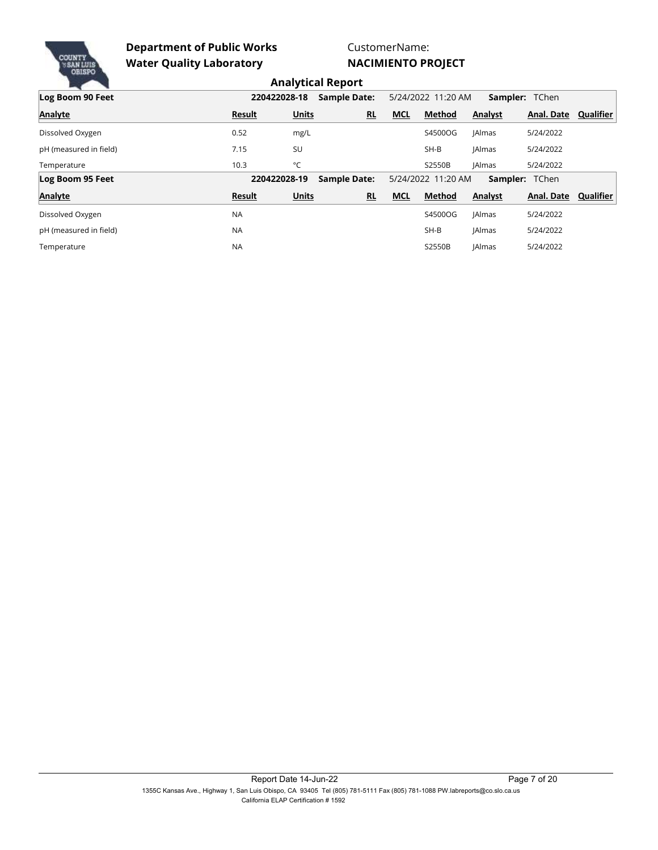

CustomerName: **NACIMIENTO PROJECT**

|                        |               |                                     | Andly Gear Report   |            |                    |               |                       |           |
|------------------------|---------------|-------------------------------------|---------------------|------------|--------------------|---------------|-----------------------|-----------|
| Log Boom 90 Feet       |               | 220422028-18<br><b>Sample Date:</b> |                     |            | 5/24/2022 11:20 AM |               | Sampler: TChen        |           |
| <b>Analyte</b>         | <b>Result</b> | <b>Units</b>                        | <b>RL</b>           | <b>MCL</b> | <b>Method</b>      | Analyst       | Anal. Date            | Qualifier |
| Dissolved Oxygen       | 0.52          | mg/L                                |                     |            | S4500OG            | <b>JAlmas</b> | 5/24/2022             |           |
| pH (measured in field) | 7.15          | SU                                  |                     |            | $SH-B$             | <b>JAlmas</b> | 5/24/2022             |           |
| Temperature            | 10.3          | °C                                  |                     |            | S2550B             | <b>JAlmas</b> | 5/24/2022             |           |
| Log Boom 95 Feet       |               | 220422028-19                        | <b>Sample Date:</b> |            | 5/24/2022 11:20 AM |               | <b>Sampler: TChen</b> |           |
| <b>Analyte</b>         | <b>Result</b> | <b>Units</b>                        | <b>RL</b>           | <b>MCL</b> | <b>Method</b>      | Analyst       | Anal. Date            | Qualifier |
| Dissolved Oxygen       | <b>NA</b>     |                                     |                     |            | S4500OG            | <b>JAlmas</b> | 5/24/2022             |           |
| pH (measured in field) | <b>NA</b>     |                                     |                     |            | $SH-B$             | <b>JAlmas</b> | 5/24/2022             |           |
| Temperature            | <b>NA</b>     |                                     |                     |            | S2550B             | <b>JAlmas</b> | 5/24/2022             |           |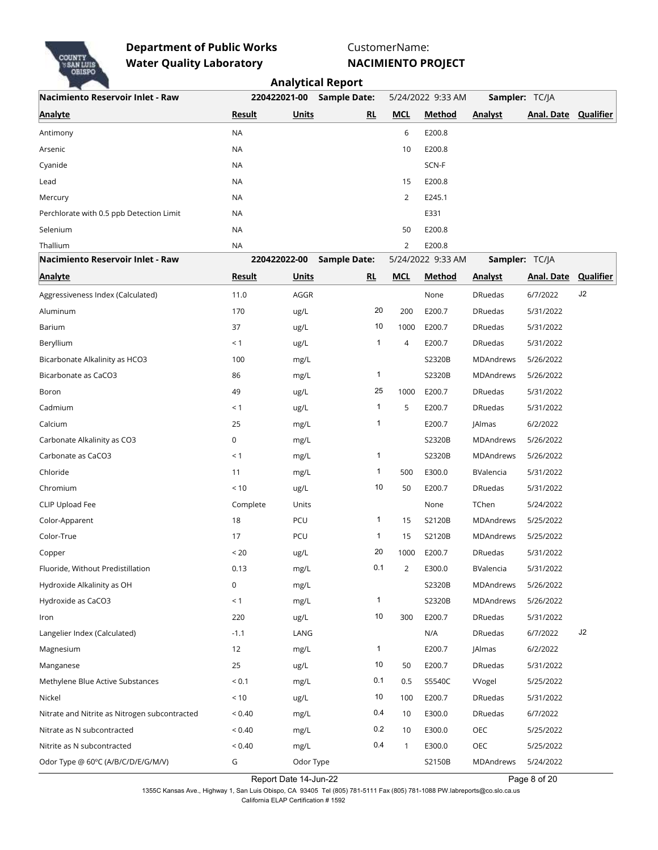

CustomerName:

**NACIMIENTO PROJECT**

|                                               |               | <b>Analytical Report</b> |                           |              |                   |                  |                             |           |  |  |
|-----------------------------------------------|---------------|--------------------------|---------------------------|--------------|-------------------|------------------|-----------------------------|-----------|--|--|
| Nacimiento Reservoir Inlet - Raw              |               | 220422021-00             | <b>Sample Date:</b>       |              | 5/24/2022 9:33 AM | Sampler: TC/JA   |                             |           |  |  |
| <b>Analyte</b>                                | <b>Result</b> | <b>Units</b>             | RL                        | <b>MCL</b>   | <b>Method</b>     | <b>Analyst</b>   | Anal. Date                  | Qualifier |  |  |
| Antimony                                      | <b>NA</b>     |                          |                           | 6            | E200.8            |                  |                             |           |  |  |
| Arsenic                                       | <b>NA</b>     |                          |                           | 10           | E200.8            |                  |                             |           |  |  |
| Cyanide                                       | <b>NA</b>     |                          |                           |              | SCN-F             |                  |                             |           |  |  |
| Lead                                          | <b>NA</b>     |                          |                           | 15           | E200.8            |                  |                             |           |  |  |
| Mercury                                       | NA            |                          |                           | 2            | E245.1            |                  |                             |           |  |  |
| Perchlorate with 0.5 ppb Detection Limit      | <b>NA</b>     |                          |                           |              | E331              |                  |                             |           |  |  |
| Selenium                                      | <b>NA</b>     |                          |                           | 50           | E200.8            |                  |                             |           |  |  |
| Thallium                                      | <b>NA</b>     |                          |                           | 2            | E200.8            |                  |                             |           |  |  |
| Nacimiento Reservoir Inlet - Raw              |               | 220422022-00             | <b>Sample Date:</b>       |              | 5/24/2022 9:33 AM | Sampler: TC/JA   |                             |           |  |  |
| <b>Analyte</b>                                | <b>Result</b> | <b>Units</b>             | $\underline{\mathsf{RL}}$ | <b>MCL</b>   | Method            | <b>Analyst</b>   | <b>Anal. Date Qualifier</b> |           |  |  |
| Aggressiveness Index (Calculated)             | 11.0          | AGGR                     |                           |              | None              | <b>DRuedas</b>   | 6/7/2022                    | J2        |  |  |
| Aluminum                                      | 170           | ug/L                     | 20                        | 200          | E200.7            | <b>DRuedas</b>   | 5/31/2022                   |           |  |  |
| Barium                                        | 37            | ug/L                     | 10                        | 1000         | E200.7            | <b>DRuedas</b>   | 5/31/2022                   |           |  |  |
| Beryllium                                     | < 1           | ug/L                     | 1                         | 4            | E200.7            | <b>DRuedas</b>   | 5/31/2022                   |           |  |  |
| Bicarbonate Alkalinity as HCO3                | 100           | mg/L                     |                           |              | S2320B            | MDAndrews        | 5/26/2022                   |           |  |  |
| Bicarbonate as CaCO3                          | 86            | mg/L                     | 1                         |              | S2320B            | <b>MDAndrews</b> | 5/26/2022                   |           |  |  |
| Boron                                         | 49            | ug/L                     | 25                        | 1000         | E200.7            | <b>DRuedas</b>   | 5/31/2022                   |           |  |  |
| Cadmium                                       | < 1           | ug/L                     | 1                         | 5            | E200.7            | <b>DRuedas</b>   | 5/31/2022                   |           |  |  |
| Calcium                                       | 25            | mg/L                     | 1                         |              | E200.7            | <b>JAlmas</b>    | 6/2/2022                    |           |  |  |
| Carbonate Alkalinity as CO3                   | 0             | mg/L                     |                           |              | S2320B            | MDAndrews        | 5/26/2022                   |           |  |  |
| Carbonate as CaCO3                            | < 1           | mg/L                     | 1                         |              | S2320B            | <b>MDAndrews</b> | 5/26/2022                   |           |  |  |
| Chloride                                      | 11            | mg/L                     | 1                         | 500          | E300.0            | BValencia        | 5/31/2022                   |           |  |  |
| Chromium                                      | < 10          | ug/L                     | 10                        | 50           | E200.7            | <b>DRuedas</b>   | 5/31/2022                   |           |  |  |
| CLIP Upload Fee                               | Complete      | Units                    |                           |              | None              | TChen            | 5/24/2022                   |           |  |  |
| Color-Apparent                                | 18            | PCU                      | 1                         | 15           | S2120B            | MDAndrews        | 5/25/2022                   |           |  |  |
| Color-True                                    | 17            | PCU                      | 1                         | 15           | S2120B            | <b>MDAndrews</b> | 5/25/2022                   |           |  |  |
| Copper                                        | < 20          | ug/L                     | 20                        | 1000         | E200.7            | DRuedas          | 5/31/2022                   |           |  |  |
| Fluoride, Without Predistillation             | 0.13          | mg/L                     | 0.1                       | 2            | E300.0            | BValencia        | 5/31/2022                   |           |  |  |
| Hydroxide Alkalinity as OH                    | 0             | mg/L                     |                           |              | S2320B            | MDAndrews        | 5/26/2022                   |           |  |  |
| Hydroxide as CaCO3                            | < 1           | mg/L                     | $\mathbf{1}$              |              | S2320B            | MDAndrews        | 5/26/2022                   |           |  |  |
| Iron                                          | 220           | ug/L                     | 10                        | 300          | E200.7            | <b>DRuedas</b>   | 5/31/2022                   |           |  |  |
| Langelier Index (Calculated)                  | $-1.1$        | LANG                     |                           |              | N/A               | <b>DRuedas</b>   | 6/7/2022                    | J2        |  |  |
| Magnesium                                     | 12            | mg/L                     | $\mathbf{1}$              |              | E200.7            | JAlmas           | 6/2/2022                    |           |  |  |
| Manganese                                     | 25            | ug/L                     | 10                        | 50           | E200.7            | <b>DRuedas</b>   | 5/31/2022                   |           |  |  |
| Methylene Blue Active Substances              | ${}_{0.1}$    | mg/L                     | 0.1                       | 0.5          | S5540C            | Wogel            | 5/25/2022                   |           |  |  |
| Nickel                                        | < 10          | ug/L                     | 10                        | 100          | E200.7            | <b>DRuedas</b>   | 5/31/2022                   |           |  |  |
| Nitrate and Nitrite as Nitrogen subcontracted | ${}_{0.40}$   | mg/L                     | 0.4                       | 10           | E300.0            | <b>DRuedas</b>   | 6/7/2022                    |           |  |  |
| Nitrate as N subcontracted                    | ${}_{0.40}$   | mg/L                     | 0.2                       | 10           | E300.0            | OEC              | 5/25/2022                   |           |  |  |
| Nitrite as N subcontracted                    | < 0.40        | mg/L                     | 0.4                       | $\mathbf{1}$ | E300.0            | OEC              | 5/25/2022                   |           |  |  |
| Odor Type @ 60°C (A/B/C/D/E/G/M/V)            | G             | Odor Type                |                           |              | S2150B            | MDAndrews        | 5/24/2022                   |           |  |  |

Report Date 14-Jun-22 Page 8 of 20

1355C Kansas Ave., Highway 1, San Luis Obispo, CA 93405 Tel (805) 781-5111 Fax (805) 781-1088 PW.labreports@co.slo.ca.us California ELAP Certification # 1592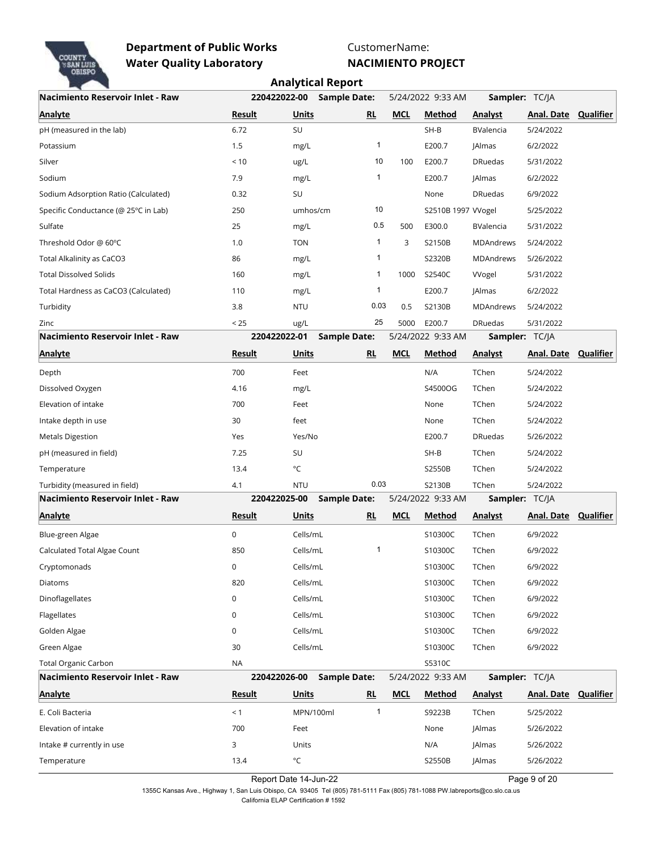

CustomerName:

**NACIMIENTO PROJECT**

|                                      | <b>Analytical Report</b> |                   |                     |              |            |                    |                       |                   |                  |
|--------------------------------------|--------------------------|-------------------|---------------------|--------------|------------|--------------------|-----------------------|-------------------|------------------|
| Nacimiento Reservoir Inlet - Raw     | 220422022-00             |                   | <b>Sample Date:</b> |              |            | 5/24/2022 9:33 AM  | <b>Sampler: TC/JA</b> |                   |                  |
| <b>Analyte</b>                       | Result                   | <b>Units</b>      |                     | RL           | <b>MCL</b> | Method             | <b>Analyst</b>        | Anal. Date        | Qualifier        |
| pH (measured in the lab)             | 6.72                     | SU                |                     |              |            | SH-B               | BValencia             | 5/24/2022         |                  |
| Potassium                            | 1.5                      | mg/L              |                     | $\mathbf{1}$ |            | E200.7             | JAlmas                | 6/2/2022          |                  |
| Silver                               | < 10                     | ug/L              |                     | 10           | 100        | E200.7             | <b>DRuedas</b>        | 5/31/2022         |                  |
| Sodium                               | 7.9                      | mg/L              |                     | 1            |            | E200.7             | <b>JAlmas</b>         | 6/2/2022          |                  |
| Sodium Adsorption Ratio (Calculated) | 0.32                     | SU                |                     |              |            | None               | <b>DRuedas</b>        | 6/9/2022          |                  |
| Specific Conductance (@ 25°C in Lab) | 250                      | umhos/cm          |                     | 10           |            | S2510B 1997 VVogel |                       | 5/25/2022         |                  |
| Sulfate                              | 25                       | mg/L              |                     | 0.5          | 500        | E300.0             | BValencia             | 5/31/2022         |                  |
| Threshold Odor @ 60°C                | 1.0                      | <b>TON</b>        |                     | 1            | 3          | S2150B             | MDAndrews             | 5/24/2022         |                  |
| Total Alkalinity as CaCO3            | 86                       | mg/L              |                     | 1            |            | S2320B             | MDAndrews             | 5/26/2022         |                  |
| <b>Total Dissolved Solids</b>        | 160                      | mg/L              |                     | 1            | 1000       | S2540C             | Wogel                 | 5/31/2022         |                  |
| Total Hardness as CaCO3 (Calculated) | 110                      | mg/L              |                     | 1            |            | E200.7             | <b>JAlmas</b>         | 6/2/2022          |                  |
| Turbidity                            | 3.8                      | <b>NTU</b>        |                     | 0.03         | 0.5        | S2130B             | MDAndrews             | 5/24/2022         |                  |
| Zinc                                 | < 25                     | ug/L              |                     | 25           | 5000       | E200.7             | <b>DRuedas</b>        | 5/31/2022         |                  |
| Nacimiento Reservoir Inlet - Raw     | 220422022-01             |                   | <b>Sample Date:</b> |              |            | 5/24/2022 9:33 AM  | Sampler: TC/JA        |                   |                  |
| <b>Analyte</b>                       | Result                   | <b>Units</b>      |                     | RL           | <b>MCL</b> | <b>Method</b>      | <b>Analyst</b>        | <b>Anal. Date</b> | <b>Qualifier</b> |
| Depth                                | 700                      | Feet              |                     |              |            | N/A                | TChen                 | 5/24/2022         |                  |
| Dissolved Oxygen                     | 4.16                     | mg/L              |                     |              |            | S4500OG            | TChen                 | 5/24/2022         |                  |
| Elevation of intake                  | 700                      | Feet              |                     |              |            | None               | TChen                 | 5/24/2022         |                  |
| Intake depth in use                  | 30                       | feet              |                     |              |            | None               | TChen                 | 5/24/2022         |                  |
| <b>Metals Digestion</b>              | Yes                      | Yes/No            |                     |              |            | E200.7             | <b>DRuedas</b>        | 5/26/2022         |                  |
| pH (measured in field)               | 7.25                     | SU                |                     |              |            | $SH-B$             | TChen                 | 5/24/2022         |                  |
| Temperature                          | 13.4                     | $^{\circ}{\sf C}$ |                     |              |            | S2550B             | TChen                 | 5/24/2022         |                  |
| Turbidity (measured in field)        | 4.1                      | <b>NTU</b>        |                     | 0.03         |            | S2130B             | TChen                 | 5/24/2022         |                  |
| Nacimiento Reservoir Inlet - Raw     | 220422025-00             |                   | <b>Sample Date:</b> |              |            | 5/24/2022 9:33 AM  | Sampler: TC/JA        |                   |                  |
| <b>Analyte</b>                       | <b>Result</b>            | Units             |                     | <b>RL</b>    | <b>MCL</b> | Method             | <b>Analyst</b>        | Anal. Date        | <b>Qualifier</b> |
| Blue-green Algae                     | 0                        | Cells/mL          |                     |              |            | S10300C            | TChen                 | 6/9/2022          |                  |
| Calculated Total Algae Count         | 850                      | Cells/mL          |                     | $\mathbf{1}$ |            | S10300C            | TChen                 | 6/9/2022          |                  |
| Cryptomonads                         | 0                        | Cells/mL          |                     |              |            | S10300C            | TChen                 | 6/9/2022          |                  |
| Diatoms                              | 820                      | Cells/mL          |                     |              |            | S10300C            | TChen                 | 6/9/2022          |                  |
| Dinoflagellates                      | 0                        | Cells/mL          |                     |              |            | S10300C            | TChen                 | 6/9/2022          |                  |
| Flagellates                          | 0                        | Cells/mL          |                     |              |            | S10300C            | TChen                 | 6/9/2022          |                  |
| Golden Algae                         | 0                        | Cells/mL          |                     |              |            | S10300C            | TChen                 | 6/9/2022          |                  |
| Green Algae                          | 30                       | Cells/mL          |                     |              |            | S10300C            | TChen                 | 6/9/2022          |                  |
| <b>Total Organic Carbon</b>          | <b>NA</b>                |                   |                     |              |            | S5310C             |                       |                   |                  |
| Nacimiento Reservoir Inlet - Raw     | 220422026-00             |                   | <b>Sample Date:</b> |              |            | 5/24/2022 9:33 AM  | Sampler: TC/JA        |                   |                  |
| <b>Analyte</b>                       | <b>Result</b>            | <b>Units</b>      |                     | RL           | <b>MCL</b> | <b>Method</b>      | <b>Analyst</b>        | Anal. Date        | <b>Qualifier</b> |
| E. Coli Bacteria                     | < 1                      | MPN/100ml         |                     | $\mathbf{1}$ |            | S9223B             | TChen                 | 5/25/2022         |                  |
| Elevation of intake                  | 700                      | Feet              |                     |              |            | None               | JAlmas                | 5/26/2022         |                  |
| Intake # currently in use            | 3                        | Units             |                     |              |            | N/A                | <b>JAlmas</b>         | 5/26/2022         |                  |
| Temperature                          | 13.4                     | $^{\circ}{\sf C}$ |                     |              |            | S2550B             | JAlmas                | 5/26/2022         |                  |

Report Date 14-Jun-22 Page 9 of 20

1355C Kansas Ave., Highway 1, San Luis Obispo, CA 93405 Tel (805) 781-5111 Fax (805) 781-1088 PW.labreports@co.slo.ca.us California ELAP Certification # 1592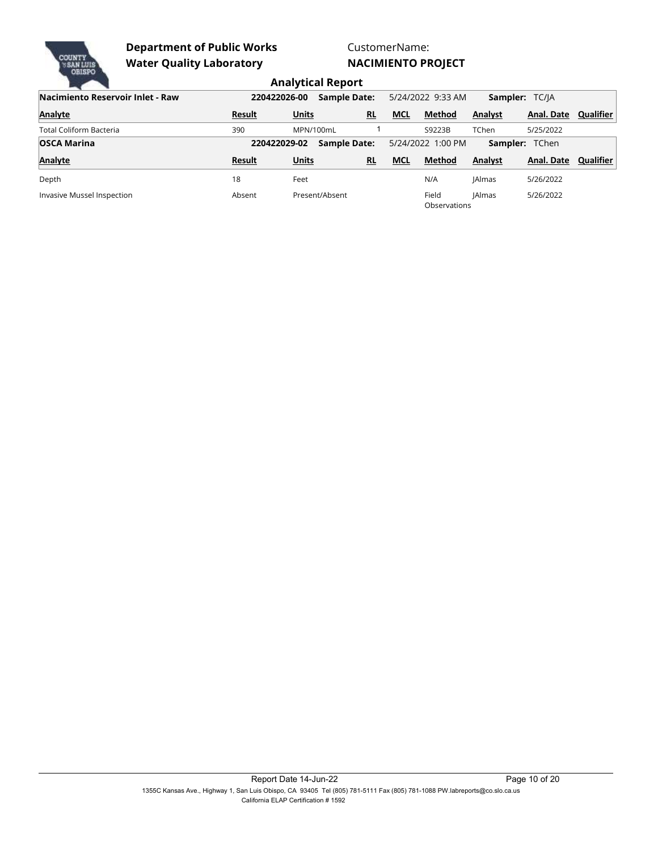

## CustomerName: **NACIMIENTO PROJECT**

| Nacimiento Reservoir Inlet - Raw | 220422026-00  |              | <b>Sample Date:</b> |            | 5/24/2022 9:33 AM     | <b>Sampler: TC/IA</b> |                       |           |
|----------------------------------|---------------|--------------|---------------------|------------|-----------------------|-----------------------|-----------------------|-----------|
| <b>Analyte</b>                   | Result        | <b>Units</b> | RL                  | <b>MCL</b> | Method                | <b>Analyst</b>        | Anal. Date            | Qualifier |
| Total Coliform Bacteria          | 390           |              | MPN/100mL           |            | S9223B                | <b>TChen</b>          | 5/25/2022             |           |
| <b>OSCA Marina</b>               | 220422029-02  |              | <b>Sample Date:</b> |            | 5/24/2022 1:00 PM     |                       | <b>Sampler:</b> TChen |           |
| <b>Analyte</b>                   | <b>Result</b> | <b>Units</b> | RL                  | <b>MCL</b> | <b>Method</b>         | <b>Analyst</b>        | Anal. Date            | Qualifier |
| Depth                            | 18            | Feet         |                     |            | N/A                   | <b>IAlmas</b>         | 5/26/2022             |           |
| Invasive Mussel Inspection       | Absent        |              | Present/Absent      |            | Field<br>Observations | <b>IAlmas</b>         | 5/26/2022             |           |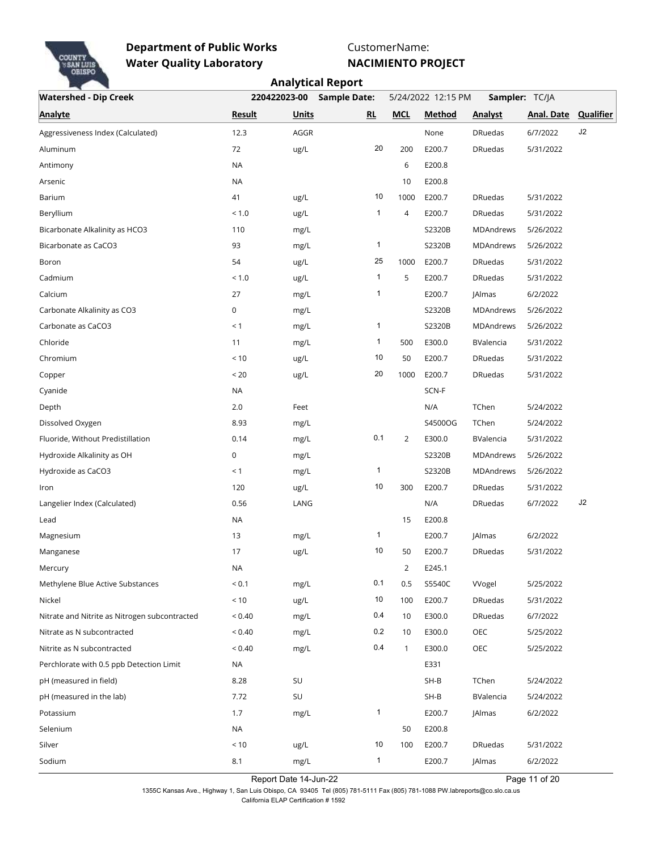

CustomerName:

**NACIMIENTO PROJECT**

|                                               |               |              | <b>Analytical Report</b> |                                      |               |                |            |                  |  |
|-----------------------------------------------|---------------|--------------|--------------------------|--------------------------------------|---------------|----------------|------------|------------------|--|
| <b>Watershed - Dip Creek</b>                  |               | 220422023-00 | <b>Sample Date:</b>      | 5/24/2022 12:15 PM<br>Sampler: TC/JA |               |                |            |                  |  |
| <b>Analyte</b>                                | <b>Result</b> | <b>Units</b> | RL                       | <b>MCL</b>                           | <b>Method</b> | <b>Analyst</b> | Anal. Date | <b>Qualifier</b> |  |
| Aggressiveness Index (Calculated)             | 12.3          | AGGR         |                          |                                      | None          | <b>DRuedas</b> | 6/7/2022   | J2               |  |
| Aluminum                                      | 72            | ug/L         | 20                       | 200                                  | E200.7        | <b>DRuedas</b> | 5/31/2022  |                  |  |
| Antimony                                      | <b>NA</b>     |              |                          | 6                                    | E200.8        |                |            |                  |  |
| Arsenic                                       | <b>NA</b>     |              |                          | 10                                   | E200.8        |                |            |                  |  |
| Barium                                        | 41            | ug/L         | 10                       | 1000                                 | E200.7        | <b>DRuedas</b> | 5/31/2022  |                  |  |
| Beryllium                                     | < 1.0         | ug/L         | $\mathbf{1}$             | 4                                    | E200.7        | <b>DRuedas</b> | 5/31/2022  |                  |  |
| Bicarbonate Alkalinity as HCO3                | 110           | mg/L         |                          |                                      | S2320B        | MDAndrews      | 5/26/2022  |                  |  |
| Bicarbonate as CaCO3                          | 93            | mg/L         | 1                        |                                      | S2320B        | MDAndrews      | 5/26/2022  |                  |  |
| Boron                                         | 54            | ug/L         | 25                       | 1000                                 | E200.7        | <b>DRuedas</b> | 5/31/2022  |                  |  |
| Cadmium                                       | < 1.0         | ug/L         | $\mathbf{1}$             | 5                                    | E200.7        | <b>DRuedas</b> | 5/31/2022  |                  |  |
| Calcium                                       | 27            | mg/L         | $\mathbf{1}$             |                                      | E200.7        | JAlmas         | 6/2/2022   |                  |  |
| Carbonate Alkalinity as CO3                   | 0             | mg/L         |                          |                                      | S2320B        | MDAndrews      | 5/26/2022  |                  |  |
| Carbonate as CaCO3                            | < 1           | mg/L         | 1                        |                                      | S2320B        | MDAndrews      | 5/26/2022  |                  |  |
| Chloride                                      | 11            | mg/L         | 1                        | 500                                  | E300.0        | BValencia      | 5/31/2022  |                  |  |
| Chromium                                      | < 10          | ug/L         | 10                       | 50                                   | E200.7        | <b>DRuedas</b> | 5/31/2022  |                  |  |
| Copper                                        | < 20          | ug/L         | 20                       | 1000                                 | E200.7        | <b>DRuedas</b> | 5/31/2022  |                  |  |
| Cyanide                                       | <b>NA</b>     |              |                          |                                      | SCN-F         |                |            |                  |  |
| Depth                                         | 2.0           | Feet         |                          |                                      | N/A           | TChen          | 5/24/2022  |                  |  |
| Dissolved Oxygen                              | 8.93          | mg/L         |                          |                                      | S4500OG       | TChen          | 5/24/2022  |                  |  |
| Fluoride, Without Predistillation             | 0.14          | mg/L         | 0.1                      | $\overline{2}$                       | E300.0        | BValencia      | 5/31/2022  |                  |  |
| Hydroxide Alkalinity as OH                    | 0             | mg/L         |                          |                                      | S2320B        | MDAndrews      | 5/26/2022  |                  |  |
| Hydroxide as CaCO3                            | < 1           | mg/L         | 1                        |                                      | S2320B        | MDAndrews      | 5/26/2022  |                  |  |
| Iron                                          | 120           | ug/L         | 10                       | 300                                  | E200.7        | <b>DRuedas</b> | 5/31/2022  |                  |  |
| Langelier Index (Calculated)                  | 0.56          | LANG         |                          |                                      | N/A           | <b>DRuedas</b> | 6/7/2022   | J2               |  |
| Lead                                          | <b>NA</b>     |              |                          | 15                                   | E200.8        |                |            |                  |  |
| Magnesium                                     | 13            | mg/L         | 1                        |                                      | E200.7        | <b>JAlmas</b>  | 6/2/2022   |                  |  |
| Manganese                                     | 17            | ug/L         | 10                       | 50                                   | E200.7        | <b>DRuedas</b> | 5/31/2022  |                  |  |
| Mercury                                       | <b>NA</b>     |              |                          | $\overline{2}$                       | E245.1        |                |            |                  |  |
| Methylene Blue Active Substances              | ${}_{0.1}$    | mg/L         | 0.1                      | 0.5                                  | S5540C        | Wogel          | 5/25/2022  |                  |  |
| Nickel                                        | < 10          | ug/L         | 10                       | 100                                  | E200.7        | <b>DRuedas</b> | 5/31/2022  |                  |  |
| Nitrate and Nitrite as Nitrogen subcontracted | ${}_{0.40}$   | mg/L         | 0.4                      | 10                                   | E300.0        | <b>DRuedas</b> | 6/7/2022   |                  |  |
| Nitrate as N subcontracted                    | ${}_{0.40}$   | mg/L         | 0.2                      | 10                                   | E300.0        | OEC            | 5/25/2022  |                  |  |
| Nitrite as N subcontracted                    | < 0.40        | mg/L         | 0.4                      | 1                                    | E300.0        | OEC            | 5/25/2022  |                  |  |
| Perchlorate with 0.5 ppb Detection Limit      | <b>NA</b>     |              |                          |                                      | E331          |                |            |                  |  |
| pH (measured in field)                        | 8.28          | SU           |                          |                                      | $SH-B$        | TChen          | 5/24/2022  |                  |  |
| pH (measured in the lab)                      | 7.72          | SU           |                          |                                      | $SH-B$        | BValencia      | 5/24/2022  |                  |  |
| Potassium                                     | 1.7           | mg/L         | $\mathbf{1}$             |                                      | E200.7        | <b>JAlmas</b>  | 6/2/2022   |                  |  |
| Selenium                                      | NA            |              |                          | 50                                   | E200.8        |                |            |                  |  |
| Silver                                        | < 10          | ug/L         | 10                       | 100                                  | E200.7        | <b>DRuedas</b> | 5/31/2022  |                  |  |
| Sodium                                        | 8.1           | mg/L         | $\mathbf{1}$             |                                      | E200.7        | JAlmas         | 6/2/2022   |                  |  |

Report Date 14-Jun-22 Page 11 of 20

1355C Kansas Ave., Highway 1, San Luis Obispo, CA 93405 Tel (805) 781-5111 Fax (805) 781-1088 PW.labreports@co.slo.ca.us California ELAP Certification # 1592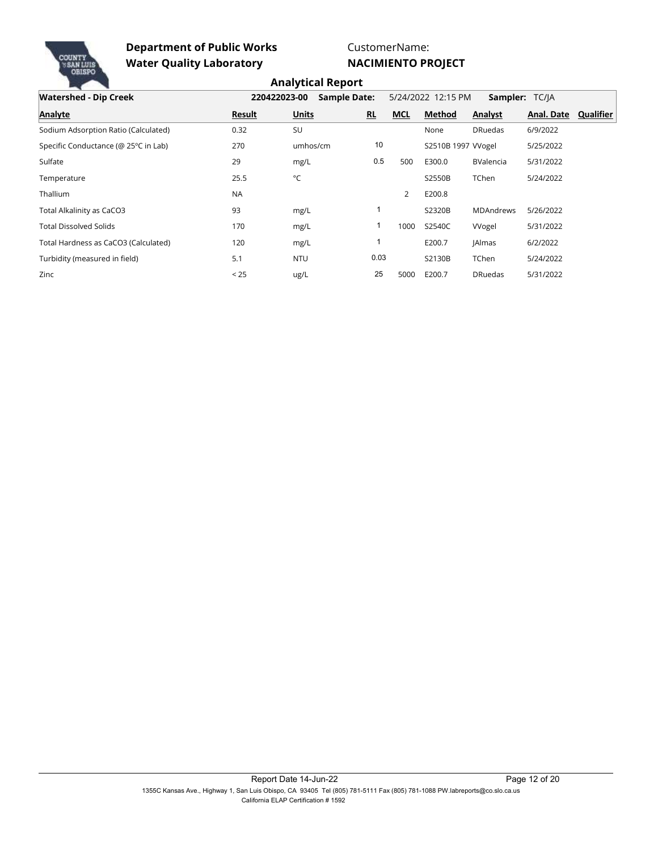

CustomerName:

**NACIMIENTO PROJECT**

| <b>Watershed - Dip Creek</b>         | 220422023-00 | <b>Sample Date:</b> |                |            | 5/24/2022 12:15 PM | <b>Sampler: TC/IA</b> |            |           |
|--------------------------------------|--------------|---------------------|----------------|------------|--------------------|-----------------------|------------|-----------|
| <b>Analyte</b>                       | Result       | <b>Units</b>        | R <sub>L</sub> | <b>MCL</b> | <b>Method</b>      | Analyst               | Anal. Date | Qualifier |
| Sodium Adsorption Ratio (Calculated) | 0.32         | SU                  |                |            | None               | <b>DRuedas</b>        | 6/9/2022   |           |
| Specific Conductance (@ 25°C in Lab) | 270          | umhos/cm            | 10             |            | S2510B 1997 Wogel  |                       | 5/25/2022  |           |
| Sulfate                              | 29           | mg/L                | 0.5            | 500        | E300.0             | <b>BValencia</b>      | 5/31/2022  |           |
| Temperature                          | 25.5         | °C                  |                |            | S2550B             | TChen                 | 5/24/2022  |           |
| Thallium                             | <b>NA</b>    |                     |                | 2          | E200.8             |                       |            |           |
| Total Alkalinity as CaCO3            | 93           | mg/L                |                |            | S2320B             | <b>MDAndrews</b>      | 5/26/2022  |           |
| <b>Total Dissolved Solids</b>        | 170          | mg/L                |                | 1000       | S2540C             | Wogel                 | 5/31/2022  |           |
| Total Hardness as CaCO3 (Calculated) | 120          | mg/L                |                |            | E200.7             | <b>JAlmas</b>         | 6/2/2022   |           |
| Turbidity (measured in field)        | 5.1          | <b>NTU</b>          | 0.03           |            | S2130B             | <b>TChen</b>          | 5/24/2022  |           |
| Zinc                                 | < 25         | ug/L                | 25             | 5000       | E200.7             | <b>DRuedas</b>        | 5/31/2022  |           |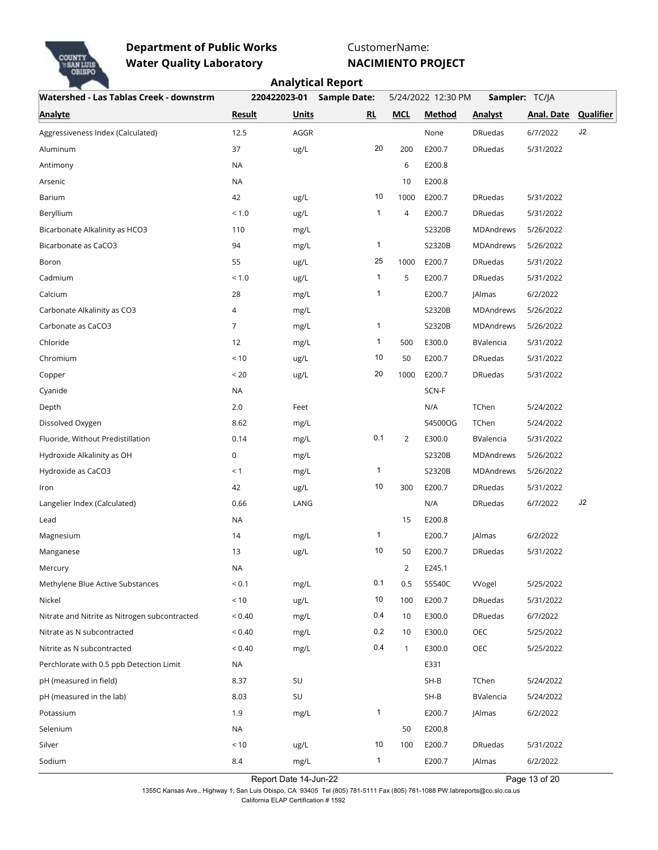

CustomerName:

**NACIMIENTO PROJECT**

|                                               |                |              | <b>Analytical Report</b> |                                      |               |                |                      |    |  |  |
|-----------------------------------------------|----------------|--------------|--------------------------|--------------------------------------|---------------|----------------|----------------------|----|--|--|
| Watershed - Las Tablas Creek - downstrm       |                | 220422023-01 | <b>Sample Date:</b>      | 5/24/2022 12:30 PM<br>Sampler: TC/JA |               |                |                      |    |  |  |
| <b>Analyte</b>                                | <b>Result</b>  | <b>Units</b> | RL                       | <b>MCL</b>                           | <b>Method</b> | <b>Analyst</b> | Anal. Date Qualifier |    |  |  |
| Aggressiveness Index (Calculated)             | 12.5           | AGGR         |                          |                                      | None          | <b>DRuedas</b> | 6/7/2022             | J2 |  |  |
| Aluminum                                      | 37             | ug/L         | 20                       | 200                                  | E200.7        | <b>DRuedas</b> | 5/31/2022            |    |  |  |
| Antimony                                      | <b>NA</b>      |              |                          | 6                                    | E200.8        |                |                      |    |  |  |
| Arsenic                                       | <b>NA</b>      |              |                          | 10                                   | E200.8        |                |                      |    |  |  |
| Barium                                        | 42             | ug/L         | 10                       | 1000                                 | E200.7        | <b>DRuedas</b> | 5/31/2022            |    |  |  |
| Beryllium                                     | < 1.0          | ug/L         | $\mathbf{1}$             | 4                                    | E200.7        | <b>DRuedas</b> | 5/31/2022            |    |  |  |
| Bicarbonate Alkalinity as HCO3                | 110            | mg/L         |                          |                                      | S2320B        | MDAndrews      | 5/26/2022            |    |  |  |
| Bicarbonate as CaCO3                          | 94             | mg/L         | 1                        |                                      | S2320B        | MDAndrews      | 5/26/2022            |    |  |  |
| Boron                                         | 55             | ug/L         | 25                       | 1000                                 | E200.7        | <b>DRuedas</b> | 5/31/2022            |    |  |  |
| Cadmium                                       | < 1.0          | ug/L         | 1                        | 5                                    | E200.7        | <b>DRuedas</b> | 5/31/2022            |    |  |  |
| Calcium                                       | 28             | mg/L         | 1                        |                                      | E200.7        | <b>JAlmas</b>  | 6/2/2022             |    |  |  |
| Carbonate Alkalinity as CO3                   | 4              | mg/L         |                          |                                      | S2320B        | MDAndrews      | 5/26/2022            |    |  |  |
| Carbonate as CaCO3                            | $\overline{7}$ | mg/L         | 1                        |                                      | S2320B        | MDAndrews      | 5/26/2022            |    |  |  |
| Chloride                                      | 12             | mg/L         | 1                        | 500                                  | E300.0        | BValencia      | 5/31/2022            |    |  |  |
| Chromium                                      | < 10           | ug/L         | 10                       | 50                                   | E200.7        | <b>DRuedas</b> | 5/31/2022            |    |  |  |
| Copper                                        | < 20           | ug/L         | 20                       | 1000                                 | E200.7        | <b>DRuedas</b> | 5/31/2022            |    |  |  |
| Cyanide                                       | NA             |              |                          |                                      | SCN-F         |                |                      |    |  |  |
| Depth                                         | 2.0            | Feet         |                          |                                      | N/A           | TChen          | 5/24/2022            |    |  |  |
| Dissolved Oxygen                              | 8.62           | mg/L         |                          |                                      | S4500OG       | TChen          | 5/24/2022            |    |  |  |
| Fluoride, Without Predistillation             | 0.14           | mg/L         | 0.1                      | $\overline{2}$                       | E300.0        | BValencia      | 5/31/2022            |    |  |  |
| Hydroxide Alkalinity as OH                    | 0              | mg/L         |                          |                                      | S2320B        | MDAndrews      | 5/26/2022            |    |  |  |
| Hydroxide as CaCO3                            | < 1            | mg/L         | 1                        |                                      | S2320B        | MDAndrews      | 5/26/2022            |    |  |  |
| Iron                                          | 42             | ug/L         | 10                       | 300                                  | E200.7        | <b>DRuedas</b> | 5/31/2022            |    |  |  |
| Langelier Index (Calculated)                  | 0.66           | LANG         |                          |                                      | N/A           | <b>DRuedas</b> | 6/7/2022             | J2 |  |  |
| Lead                                          | <b>NA</b>      |              |                          | 15                                   | E200.8        |                |                      |    |  |  |
| Magnesium                                     | 14             | mg/L         | 1                        |                                      | E200.7        | <b>JAlmas</b>  | 6/2/2022             |    |  |  |
| Manganese                                     | 13             | ug/L         | 10                       | 50                                   | E200.7        | <b>DRuedas</b> | 5/31/2022            |    |  |  |
| Mercury                                       | NA             |              |                          | $\overline{2}$                       | E245.1        |                |                      |    |  |  |
| Methylene Blue Active Substances              | ${}_{0.1}$     | mg/L         | 0.1                      | 0.5                                  | S5540C        | Wogel          | 5/25/2022            |    |  |  |
| Nickel                                        | $<10$          | ug/L         | 10                       | 100                                  | E200.7        | <b>DRuedas</b> | 5/31/2022            |    |  |  |
| Nitrate and Nitrite as Nitrogen subcontracted | ${}_{0.40}$    | mg/L         | 0.4                      | 10                                   | E300.0        | <b>DRuedas</b> | 6/7/2022             |    |  |  |
| Nitrate as N subcontracted                    | ${}_{0.40}$    | mg/L         | 0.2                      | 10                                   | E300.0        | OEC            | 5/25/2022            |    |  |  |
| Nitrite as N subcontracted                    | ${}_{0.40}$    | mg/L         | 0.4                      | 1                                    | E300.0        | OEC            | 5/25/2022            |    |  |  |
| Perchlorate with 0.5 ppb Detection Limit      | NA             |              |                          |                                      | E331          |                |                      |    |  |  |
| pH (measured in field)                        | 8.37           | SU           |                          |                                      | $SH-B$        | TChen          | 5/24/2022            |    |  |  |
| pH (measured in the lab)                      | 8.03           | SU           |                          |                                      | $SH-B$        | BValencia      | 5/24/2022            |    |  |  |
| Potassium                                     | 1.9            | mg/L         | $\mathbf{1}$             |                                      | E200.7        | <b>JAlmas</b>  | 6/2/2022             |    |  |  |
| Selenium                                      | <b>NA</b>      |              |                          | 50                                   | E200.8        |                |                      |    |  |  |
| Silver                                        | < 10           | ug/L         | 10                       | 100                                  | E200.7        | <b>DRuedas</b> | 5/31/2022            |    |  |  |
| Sodium                                        | 8.4            | mg/L         | $\mathbf{1}$             |                                      | E200.7        | JAlmas         | 6/2/2022             |    |  |  |

Report Date 14-Jun-22 Page 13 of 20

, Page 13 of 20 1355C Kansas Ave., Highway 1, San Luis Obispo, CA 93405 Tel (805) 781-5111 Fax (805) 781-1088 PW.labreports@co.slo.ca.us California ELAP Certification # 1592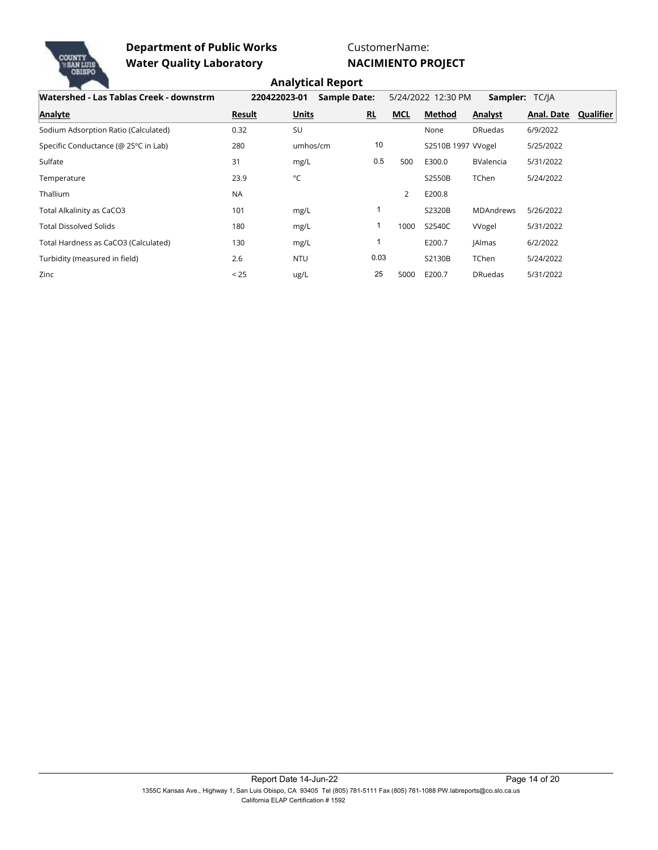

CustomerName:

**NACIMIENTO PROJECT**

| Watershed - Las Tablas Creek - downstrm | 220422023-01 | <b>Sample Date:</b> |           |            | 5/24/2022 12:30 PM | Sampler: TC/JA   |            |           |
|-----------------------------------------|--------------|---------------------|-----------|------------|--------------------|------------------|------------|-----------|
| <b>Analyte</b>                          | Result       | <b>Units</b>        | <b>RL</b> | <b>MCL</b> | Method             | Analyst          | Anal. Date | Qualifier |
| Sodium Adsorption Ratio (Calculated)    | 0.32         | SU                  |           |            | None               | <b>DRuedas</b>   | 6/9/2022   |           |
| Specific Conductance (@ 25°C in Lab)    | 280          | umhos/cm            | 10        |            | S2510B 1997 Wogel  |                  | 5/25/2022  |           |
| Sulfate                                 | 31           | mg/L                | 0.5       | 500        | E300.0             | <b>BValencia</b> | 5/31/2022  |           |
| Temperature                             | 23.9         | °C                  |           |            | S2550B             | TChen            | 5/24/2022  |           |
| Thallium                                | <b>NA</b>    |                     |           | 2          | E200.8             |                  |            |           |
| Total Alkalinity as CaCO3               | 101          | mg/L                |           |            | S2320B             | <b>MDAndrews</b> | 5/26/2022  |           |
| <b>Total Dissolved Solids</b>           | 180          | mg/L                |           | 1000       | S2540C             | Wogel            | 5/31/2022  |           |
| Total Hardness as CaCO3 (Calculated)    | 130          | mg/L                |           |            | E200.7             | <b>JAlmas</b>    | 6/2/2022   |           |
| Turbidity (measured in field)           | 2.6          | <b>NTU</b>          | 0.03      |            | S2130B             | TChen            | 5/24/2022  |           |
| Zinc                                    | < 25         | ug/L                | 25        | 5000       | E200.7             | <b>DRuedas</b>   | 5/31/2022  |           |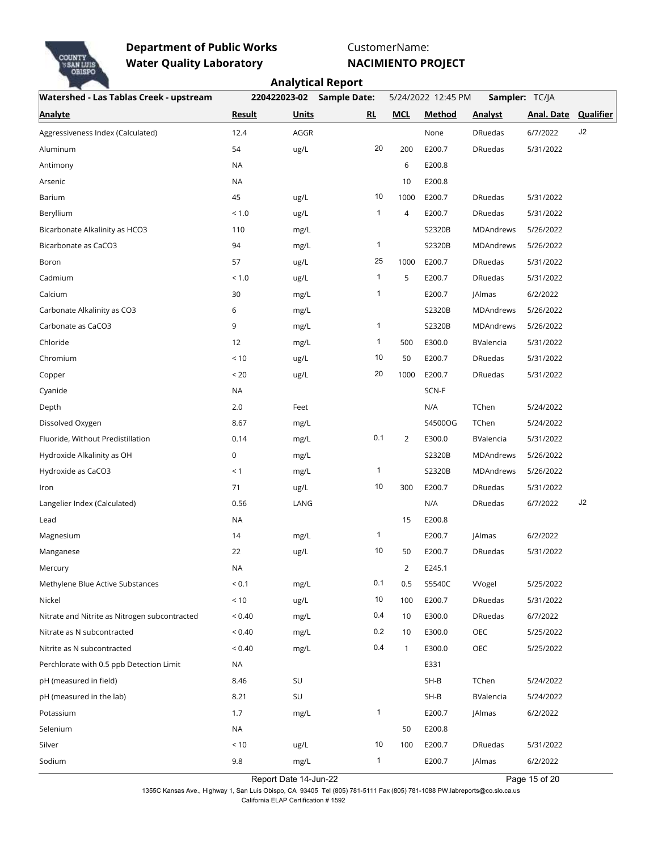

CustomerName:

**NACIMIENTO PROJECT**

|                                               |               |              | <b>Analytical Report</b> |                                      |               |                  |                      |    |  |  |
|-----------------------------------------------|---------------|--------------|--------------------------|--------------------------------------|---------------|------------------|----------------------|----|--|--|
| Watershed - Las Tablas Creek - upstream       |               | 220422023-02 | <b>Sample Date:</b>      | 5/24/2022 12:45 PM<br>Sampler: TC/JA |               |                  |                      |    |  |  |
| <b>Analyte</b>                                | <b>Result</b> | <b>Units</b> | RL                       | <b>MCL</b>                           | <b>Method</b> | <b>Analyst</b>   | Anal. Date Qualifier |    |  |  |
| Aggressiveness Index (Calculated)             | 12.4          | AGGR         |                          |                                      | None          | <b>DRuedas</b>   | 6/7/2022             | J2 |  |  |
| Aluminum                                      | 54            | ug/L         | 20                       | 200                                  | E200.7        | <b>DRuedas</b>   | 5/31/2022            |    |  |  |
| Antimony                                      | <b>NA</b>     |              |                          | 6                                    | E200.8        |                  |                      |    |  |  |
| Arsenic                                       | <b>NA</b>     |              |                          | 10                                   | E200.8        |                  |                      |    |  |  |
| Barium                                        | 45            | ug/L         | 10                       | 1000                                 | E200.7        | <b>DRuedas</b>   | 5/31/2022            |    |  |  |
| Beryllium                                     | < 1.0         | ug/L         | $\mathbf{1}$             | 4                                    | E200.7        | <b>DRuedas</b>   | 5/31/2022            |    |  |  |
| Bicarbonate Alkalinity as HCO3                | 110           | mg/L         |                          |                                      | S2320B        | MDAndrews        | 5/26/2022            |    |  |  |
| Bicarbonate as CaCO3                          | 94            | mg/L         | 1                        |                                      | S2320B        | MDAndrews        | 5/26/2022            |    |  |  |
| Boron                                         | 57            | ug/L         | 25                       | 1000                                 | E200.7        | <b>DRuedas</b>   | 5/31/2022            |    |  |  |
| Cadmium                                       | < 1.0         | ug/L         | 1                        | 5                                    | E200.7        | <b>DRuedas</b>   | 5/31/2022            |    |  |  |
| Calcium                                       | 30            | mg/L         | 1                        |                                      | E200.7        | <b>JAlmas</b>    | 6/2/2022             |    |  |  |
| Carbonate Alkalinity as CO3                   | 6             | mg/L         |                          |                                      | S2320B        | MDAndrews        | 5/26/2022            |    |  |  |
| Carbonate as CaCO3                            | 9             | mg/L         | 1                        |                                      | S2320B        | MDAndrews        | 5/26/2022            |    |  |  |
| Chloride                                      | 12            | mg/L         | 1                        | 500                                  | E300.0        | BValencia        | 5/31/2022            |    |  |  |
| Chromium                                      | < 10          | ug/L         | 10                       | 50                                   | E200.7        | <b>DRuedas</b>   | 5/31/2022            |    |  |  |
| Copper                                        | < 20          | ug/L         | 20                       | 1000                                 | E200.7        | <b>DRuedas</b>   | 5/31/2022            |    |  |  |
| Cyanide                                       | NA            |              |                          |                                      | SCN-F         |                  |                      |    |  |  |
| Depth                                         | 2.0           | Feet         |                          |                                      | N/A           | TChen            | 5/24/2022            |    |  |  |
| Dissolved Oxygen                              | 8.67          | mg/L         |                          |                                      | S4500OG       | TChen            | 5/24/2022            |    |  |  |
| Fluoride, Without Predistillation             | 0.14          | mg/L         | 0.1                      | $\overline{2}$                       | E300.0        | BValencia        | 5/31/2022            |    |  |  |
| Hydroxide Alkalinity as OH                    | 0             | mg/L         |                          |                                      | S2320B        | <b>MDAndrews</b> | 5/26/2022            |    |  |  |
| Hydroxide as CaCO3                            | < 1           | mg/L         | 1                        |                                      | S2320B        | MDAndrews        | 5/26/2022            |    |  |  |
| Iron                                          | 71            | ug/L         | 10                       | 300                                  | E200.7        | <b>DRuedas</b>   | 5/31/2022            |    |  |  |
| Langelier Index (Calculated)                  | 0.56          | LANG         |                          |                                      | N/A           | <b>DRuedas</b>   | 6/7/2022             | J2 |  |  |
| Lead                                          | <b>NA</b>     |              |                          | 15                                   | E200.8        |                  |                      |    |  |  |
| Magnesium                                     | 14            | mg/L         | 1                        |                                      | E200.7        | <b>JAlmas</b>    | 6/2/2022             |    |  |  |
| Manganese                                     | 22            | ug/L         | 10                       | 50                                   | E200.7        | <b>DRuedas</b>   | 5/31/2022            |    |  |  |
| Mercury                                       | NA            |              |                          | $\overline{2}$                       | E245.1        |                  |                      |    |  |  |
| Methylene Blue Active Substances              | ${}_{0.1}$    | mg/L         | 0.1                      | 0.5                                  | S5540C        | Wogel            | 5/25/2022            |    |  |  |
| Nickel                                        | $<10$         | ug/L         | 10                       | 100                                  | E200.7        | <b>DRuedas</b>   | 5/31/2022            |    |  |  |
| Nitrate and Nitrite as Nitrogen subcontracted | ${}_{0.40}$   | mg/L         | 0.4                      | 10                                   | E300.0        | <b>DRuedas</b>   | 6/7/2022             |    |  |  |
| Nitrate as N subcontracted                    | ${}_{0.40}$   | mg/L         | 0.2                      | 10                                   | E300.0        | OEC              | 5/25/2022            |    |  |  |
| Nitrite as N subcontracted                    | ${}_{0.40}$   | mg/L         | 0.4                      | 1                                    | E300.0        | OEC              | 5/25/2022            |    |  |  |
| Perchlorate with 0.5 ppb Detection Limit      | NA            |              |                          |                                      | E331          |                  |                      |    |  |  |
| pH (measured in field)                        | 8.46          | SU           |                          |                                      | $SH-B$        | TChen            | 5/24/2022            |    |  |  |
| pH (measured in the lab)                      | 8.21          | SU           |                          |                                      | $SH-B$        | BValencia        | 5/24/2022            |    |  |  |
| Potassium                                     | 1.7           | mg/L         | $\mathbf{1}$             |                                      | E200.7        | <b>JAlmas</b>    | 6/2/2022             |    |  |  |
| Selenium                                      | NA            |              |                          | 50                                   | E200.8        |                  |                      |    |  |  |
| Silver                                        | < 10          | ug/L         | 10                       | 100                                  | E200.7        | <b>DRuedas</b>   | 5/31/2022            |    |  |  |
| Sodium                                        | 9.8           | mg/L         | $\mathbf{1}$             |                                      | E200.7        | JAlmas           | 6/2/2022             |    |  |  |

Report Date 14-Jun-22 **Page 15 of 20** 

, Page 15 of 20 1355C Kansas Ave., Highway 1, San Luis Obispo, CA 93405 Tel (805) 781-5111 Fax (805) 781-1088 PW.labreports@co.slo.ca.us California ELAP Certification # 1592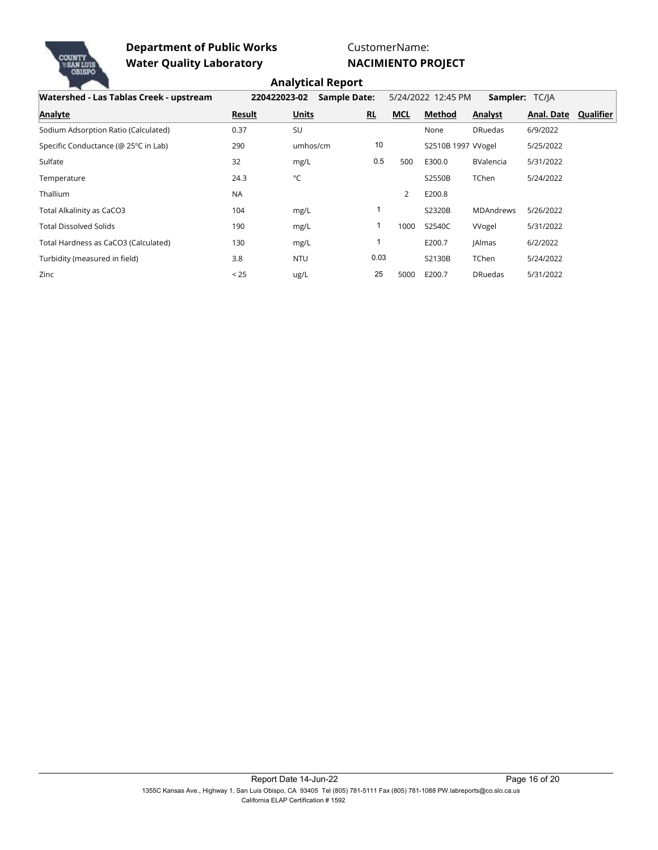

CustomerName:

**NACIMIENTO PROJECT**

| Watershed - Las Tablas Creek - upstream | 220422023-02 | <b>Sample Date:</b> |           |            | 5/24/2022 12:45 PM | Sampler: TC/IA   |            |           |
|-----------------------------------------|--------------|---------------------|-----------|------------|--------------------|------------------|------------|-----------|
| Analyte                                 | Result       | <b>Units</b>        | <b>RL</b> | <b>MCL</b> | Method             | Analyst          | Anal. Date | Qualifier |
| Sodium Adsorption Ratio (Calculated)    | 0.37         | SU                  |           |            | None               | <b>DRuedas</b>   | 6/9/2022   |           |
| Specific Conductance (@ 25°C in Lab)    | 290          | umhos/cm            | 10        |            | S2510B 1997 Wogel  |                  | 5/25/2022  |           |
| Sulfate                                 | 32           | mg/L                | 0.5       | 500        | E300.0             | <b>BValencia</b> | 5/31/2022  |           |
| Temperature                             | 24.3         | $^{\circ}$ C        |           |            | S2550B             | TChen            | 5/24/2022  |           |
| Thallium                                | <b>NA</b>    |                     |           | 2          | E200.8             |                  |            |           |
| Total Alkalinity as CaCO3               | 104          | mg/L                |           |            | S2320B             | <b>MDAndrews</b> | 5/26/2022  |           |
| <b>Total Dissolved Solids</b>           | 190          | mg/L                |           | 1000       | S2540C             | Wogel            | 5/31/2022  |           |
| Total Hardness as CaCO3 (Calculated)    | 130          | mg/L                |           |            | E200.7             | <b>JAlmas</b>    | 6/2/2022   |           |
| Turbidity (measured in field)           | 3.8          | <b>NTU</b>          | 0.03      |            | S2130B             | TChen            | 5/24/2022  |           |
| Zinc                                    | < 25         | ug/L                | 25        | 5000       | E200.7             | <b>DRuedas</b>   | 5/31/2022  |           |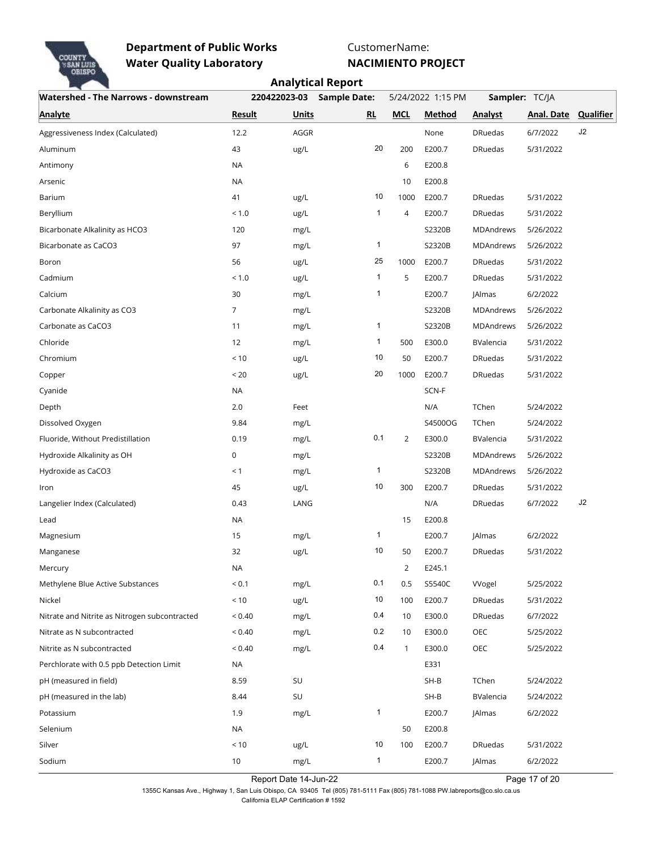

CustomerName:

**NACIMIENTO PROJECT**

|                                               |                |              | <b>Analytical Report</b> |                |                   |                |                      |    |
|-----------------------------------------------|----------------|--------------|--------------------------|----------------|-------------------|----------------|----------------------|----|
| <b>Watershed - The Narrows - downstream</b>   |                | 220422023-03 | <b>Sample Date:</b>      |                | 5/24/2022 1:15 PM |                | Sampler: TC/JA       |    |
| <b>Analyte</b>                                | <b>Result</b>  | <b>Units</b> | RL                       | <b>MCL</b>     | <b>Method</b>     | <b>Analyst</b> | Anal. Date Qualifier |    |
| Aggressiveness Index (Calculated)             | 12.2           | AGGR         |                          |                | None              | <b>DRuedas</b> | 6/7/2022             | J2 |
| Aluminum                                      | 43             | ug/L         | 20                       | 200            | E200.7            | <b>DRuedas</b> | 5/31/2022            |    |
| Antimony                                      | <b>NA</b>      |              |                          | 6              | E200.8            |                |                      |    |
| Arsenic                                       | <b>NA</b>      |              |                          | 10             | E200.8            |                |                      |    |
| Barium                                        | 41             | ug/L         | 10                       | 1000           | E200.7            | <b>DRuedas</b> | 5/31/2022            |    |
| Beryllium                                     | < 1.0          | ug/L         | $\mathbf{1}$             | 4              | E200.7            | <b>DRuedas</b> | 5/31/2022            |    |
| Bicarbonate Alkalinity as HCO3                | 120            | mg/L         |                          |                | S2320B            | MDAndrews      | 5/26/2022            |    |
| Bicarbonate as CaCO3                          | 97             | mg/L         | 1                        |                | S2320B            | MDAndrews      | 5/26/2022            |    |
| Boron                                         | 56             | ug/L         | 25                       | 1000           | E200.7            | <b>DRuedas</b> | 5/31/2022            |    |
| Cadmium                                       | < 1.0          | ug/L         | 1                        | 5              | E200.7            | <b>DRuedas</b> | 5/31/2022            |    |
| Calcium                                       | 30             | mg/L         | 1                        |                | E200.7            | <b>JAlmas</b>  | 6/2/2022             |    |
| Carbonate Alkalinity as CO3                   | $\overline{7}$ | mg/L         |                          |                | S2320B            | MDAndrews      | 5/26/2022            |    |
| Carbonate as CaCO3                            | 11             | mg/L         | 1                        |                | S2320B            | MDAndrews      | 5/26/2022            |    |
| Chloride                                      | 12             | mg/L         | 1                        | 500            | E300.0            | BValencia      | 5/31/2022            |    |
| Chromium                                      | < 10           | ug/L         | 10                       | 50             | E200.7            | <b>DRuedas</b> | 5/31/2022            |    |
| Copper                                        | < 20           | ug/L         | 20                       | 1000           | E200.7            | <b>DRuedas</b> | 5/31/2022            |    |
| Cyanide                                       | NA             |              |                          |                | SCN-F             |                |                      |    |
| Depth                                         | 2.0            | Feet         |                          |                | N/A               | TChen          | 5/24/2022            |    |
| Dissolved Oxygen                              | 9.84           | mg/L         |                          |                | S4500OG           | TChen          | 5/24/2022            |    |
| Fluoride, Without Predistillation             | 0.19           | mg/L         | 0.1                      | $\overline{2}$ | E300.0            | BValencia      | 5/31/2022            |    |
| Hydroxide Alkalinity as OH                    | 0              | mg/L         |                          |                | S2320B            | MDAndrews      | 5/26/2022            |    |
| Hydroxide as CaCO3                            | < 1            | mg/L         | 1                        |                | S2320B            | MDAndrews      | 5/26/2022            |    |
| Iron                                          | 45             | ug/L         | 10                       | 300            | E200.7            | <b>DRuedas</b> | 5/31/2022            |    |
| Langelier Index (Calculated)                  | 0.43           | LANG         |                          |                | N/A               | <b>DRuedas</b> | 6/7/2022             | J2 |
| Lead                                          | <b>NA</b>      |              |                          | 15             | E200.8            |                |                      |    |
| Magnesium                                     | 15             | mg/L         | 1                        |                | E200.7            | <b>JAlmas</b>  | 6/2/2022             |    |
| Manganese                                     | 32             | ug/L         | 10                       | 50             | E200.7            | <b>DRuedas</b> | 5/31/2022            |    |
| Mercury                                       | NA             |              |                          | $\overline{2}$ | E245.1            |                |                      |    |
| Methylene Blue Active Substances              | ${}_{0.1}$     | mg/L         | 0.1                      | 0.5            | S5540C            | Wogel          | 5/25/2022            |    |
| Nickel                                        | $<10$          | ug/L         | 10                       | 100            | E200.7            | <b>DRuedas</b> | 5/31/2022            |    |
| Nitrate and Nitrite as Nitrogen subcontracted | ${}_{0.40}$    | mg/L         | 0.4                      | 10             | E300.0            | <b>DRuedas</b> | 6/7/2022             |    |
| Nitrate as N subcontracted                    | ${}_{0.40}$    | mg/L         | 0.2                      | 10             | E300.0            | OEC            | 5/25/2022            |    |
| Nitrite as N subcontracted                    | ${}_{0.40}$    | mg/L         | 0.4                      | $\mathbf{1}$   | E300.0            | OEC            | 5/25/2022            |    |
| Perchlorate with 0.5 ppb Detection Limit      | NA             |              |                          |                | E331              |                |                      |    |
| pH (measured in field)                        | 8.59           | SU           |                          |                | $SH-B$            | TChen          | 5/24/2022            |    |
| pH (measured in the lab)                      | 8.44           | SU           |                          |                | $SH-B$            | BValencia      | 5/24/2022            |    |
| Potassium                                     | 1.9            | mg/L         | $\mathbf{1}$             |                | E200.7            | <b>JAlmas</b>  | 6/2/2022             |    |
| Selenium                                      | <b>NA</b>      |              |                          | 50             | E200.8            |                |                      |    |
| Silver                                        | < 10           | ug/L         | 10                       | 100            | E200.7            | <b>DRuedas</b> | 5/31/2022            |    |
| Sodium                                        | $10$           | mg/L         | $\mathbf{1}$             |                | E200.7            | JAlmas         | 6/2/2022             |    |

Report Date 14-Jun-22 Page 17 of 20

1355C Kansas Ave., Highway 1, San Luis Obispo, CA 93405 Tel (805) 781-5111 Fax (805) 781-1088 PW.labreports@co.slo.ca.us California ELAP Certification # 1592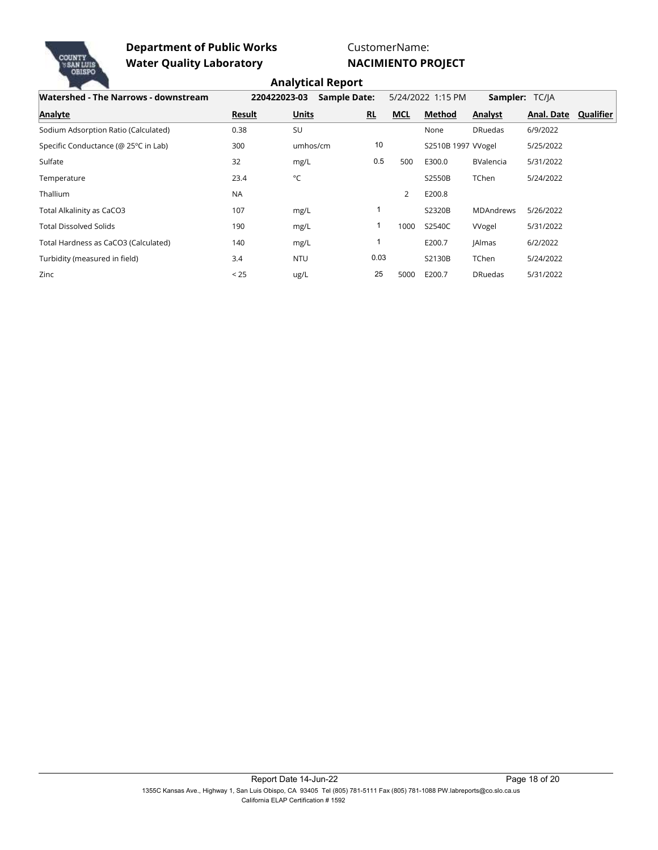

CustomerName:

**NACIMIENTO PROJECT**

| Watershed - The Narrows - downstream | 220422023-03  | <b>Sample Date:</b> |      |            | 5/24/2022 1:15 PM | Sampler: TC/JA   |            |           |
|--------------------------------------|---------------|---------------------|------|------------|-------------------|------------------|------------|-----------|
| Analyte                              | <b>Result</b> | <b>Units</b>        | RL   | <b>MCL</b> | Method            | Analyst          | Anal. Date | Qualifier |
| Sodium Adsorption Ratio (Calculated) | 0.38          | SU                  |      |            | None              | <b>DRuedas</b>   | 6/9/2022   |           |
| Specific Conductance (@ 25°C in Lab) | 300           | umhos/cm            | 10   |            | S2510B 1997 Wogel |                  | 5/25/2022  |           |
| Sulfate                              | 32            | mg/L                | 0.5  | 500        | E300.0            | <b>BValencia</b> | 5/31/2022  |           |
| Temperature                          | 23.4          | °C                  |      |            | S2550B            | TChen            | 5/24/2022  |           |
| <b>Thallium</b>                      | <b>NA</b>     |                     |      | 2          | E200.8            |                  |            |           |
| Total Alkalinity as CaCO3            | 107           | mg/L                |      |            | S2320B            | <b>MDAndrews</b> | 5/26/2022  |           |
| <b>Total Dissolved Solids</b>        | 190           | mg/L                |      | 1000       | S2540C            | Wogel            | 5/31/2022  |           |
| Total Hardness as CaCO3 (Calculated) | 140           | mg/L                |      |            | E200.7            | <b>JAlmas</b>    | 6/2/2022   |           |
| Turbidity (measured in field)        | 3.4           | <b>NTU</b>          | 0.03 |            | S2130B            | TChen            | 5/24/2022  |           |
| Zinc                                 | < 25          | ug/L                | 25   | 5000       | E200.7            | <b>DRuedas</b>   | 5/31/2022  |           |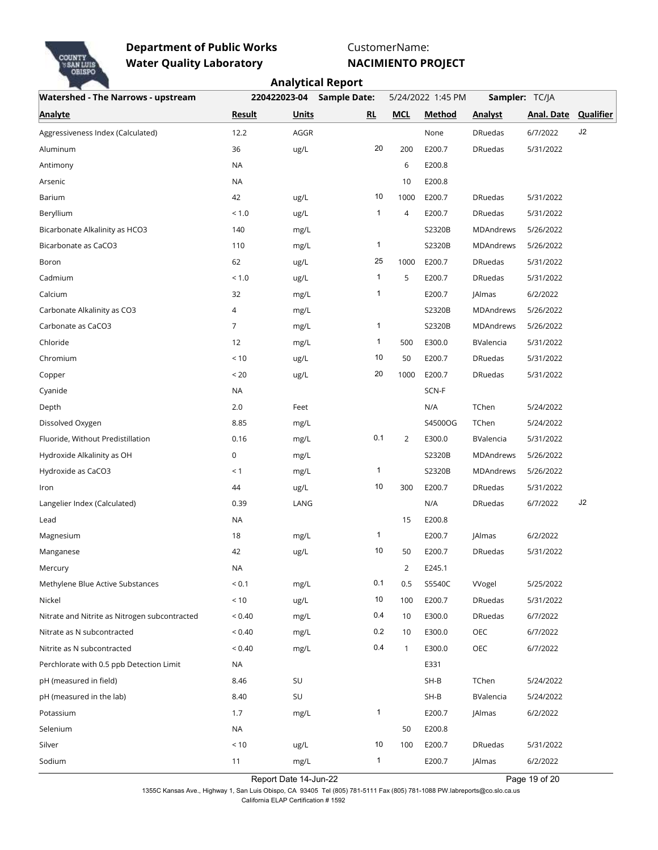

CustomerName:

**NACIMIENTO PROJECT**

|                                               |               |              | <b>Analytical Report</b> |                |                   |                  |                      |    |
|-----------------------------------------------|---------------|--------------|--------------------------|----------------|-------------------|------------------|----------------------|----|
| <b>Watershed - The Narrows - upstream</b>     |               | 220422023-04 | <b>Sample Date:</b>      |                | 5/24/2022 1:45 PM |                  | Sampler: TC/JA       |    |
| <b>Analyte</b>                                | <b>Result</b> | <b>Units</b> | RL                       | <b>MCL</b>     | Method            | <b>Analyst</b>   | Anal. Date Qualifier |    |
| Aggressiveness Index (Calculated)             | 12.2          | AGGR         |                          |                | None              | <b>DRuedas</b>   | 6/7/2022             | J2 |
| Aluminum                                      | 36            | ug/L         | 20                       | 200            | E200.7            | <b>DRuedas</b>   | 5/31/2022            |    |
| Antimony                                      | <b>NA</b>     |              |                          | 6              | E200.8            |                  |                      |    |
| Arsenic                                       | <b>NA</b>     |              |                          | 10             | E200.8            |                  |                      |    |
| Barium                                        | 42            | ug/L         | 10                       | 1000           | E200.7            | <b>DRuedas</b>   | 5/31/2022            |    |
| Beryllium                                     | < 1.0         | ug/L         | $\mathbf{1}$             | $\overline{4}$ | E200.7            | <b>DRuedas</b>   | 5/31/2022            |    |
| Bicarbonate Alkalinity as HCO3                | 140           | mg/L         |                          |                | S2320B            | <b>MDAndrews</b> | 5/26/2022            |    |
| Bicarbonate as CaCO3                          | 110           | mg/L         | 1                        |                | S2320B            | <b>MDAndrews</b> | 5/26/2022            |    |
| Boron                                         | 62            | ug/L         | 25                       | 1000           | E200.7            | <b>DRuedas</b>   | 5/31/2022            |    |
| Cadmium                                       | < 1.0         | ug/L         | 1                        | 5              | E200.7            | <b>DRuedas</b>   | 5/31/2022            |    |
| Calcium                                       | 32            | mg/L         | 1                        |                | E200.7            | <b>JAlmas</b>    | 6/2/2022             |    |
| Carbonate Alkalinity as CO3                   | 4             | mg/L         |                          |                | S2320B            | MDAndrews        | 5/26/2022            |    |
| Carbonate as CaCO3                            | 7             | mg/L         | 1                        |                | S2320B            | <b>MDAndrews</b> | 5/26/2022            |    |
| Chloride                                      | 12            | mg/L         | $\mathbf{1}$             | 500            | E300.0            | BValencia        | 5/31/2022            |    |
| Chromium                                      | < 10          | ug/L         | 10                       | 50             | E200.7            | <b>DRuedas</b>   | 5/31/2022            |    |
| Copper                                        | < 20          | ug/L         | 20                       | 1000           | E200.7            | <b>DRuedas</b>   | 5/31/2022            |    |
| Cyanide                                       | <b>NA</b>     |              |                          |                | SCN-F             |                  |                      |    |
| Depth                                         | 2.0           | Feet         |                          |                | N/A               | TChen            | 5/24/2022            |    |
| Dissolved Oxygen                              | 8.85          | mg/L         |                          |                | S4500OG           | TChen            | 5/24/2022            |    |
| Fluoride, Without Predistillation             | 0.16          | mg/L         | 0.1                      | $\overline{2}$ | E300.0            | BValencia        | 5/31/2022            |    |
| Hydroxide Alkalinity as OH                    | 0             | mg/L         |                          |                | S2320B            | <b>MDAndrews</b> | 5/26/2022            |    |
| Hydroxide as CaCO3                            | < 1           | mg/L         | 1                        |                | S2320B            | MDAndrews        | 5/26/2022            |    |
| Iron                                          | 44            | ug/L         | 10                       | 300            | E200.7            | <b>DRuedas</b>   | 5/31/2022            |    |
| Langelier Index (Calculated)                  | 0.39          | LANG         |                          |                | N/A               | <b>DRuedas</b>   | 6/7/2022             | J2 |
| Lead                                          | NA            |              |                          | 15             | E200.8            |                  |                      |    |
| Magnesium                                     | 18            | mg/L         | 1                        |                | E200.7            | <b>JAlmas</b>    | 6/2/2022             |    |
| Manganese                                     | 42            | ug/L         | 10                       | 50             | E200.7            | <b>DRuedas</b>   | 5/31/2022            |    |
| Mercury                                       | NA            |              |                          | $\overline{2}$ | E245.1            |                  |                      |    |
| Methylene Blue Active Substances              | ${}_{0.1}$    | mg/L         | 0.1                      | 0.5            | S5540C            | Wogel            | 5/25/2022            |    |
| Nickel                                        | $<10$         | ug/L         | 10                       | 100            | E200.7            | <b>DRuedas</b>   | 5/31/2022            |    |
| Nitrate and Nitrite as Nitrogen subcontracted | ${}_{0.40}$   | mg/L         | 0.4                      | 10             | E300.0            | <b>DRuedas</b>   | 6/7/2022             |    |
| Nitrate as N subcontracted                    | ${}_{0.40}$   | mg/L         | 0.2                      | 10             | E300.0            | OEC              | 6/7/2022             |    |
| Nitrite as N subcontracted                    | < 0.40        | mg/L         | 0.4                      | 1              | E300.0            | OEC              | 6/7/2022             |    |
| Perchlorate with 0.5 ppb Detection Limit      | NA            |              |                          |                | E331              |                  |                      |    |
| pH (measured in field)                        | 8.46          | SU           |                          |                | $SH-B$            | TChen            | 5/24/2022            |    |
| pH (measured in the lab)                      | 8.40          | SU           |                          |                | $SH-B$            | BValencia        | 5/24/2022            |    |
| Potassium                                     | 1.7           | mg/L         | $\mathbf{1}$             |                | E200.7            | JAlmas           | 6/2/2022             |    |
| Selenium                                      | NA            |              |                          | 50             | E200.8            |                  |                      |    |
| Silver                                        | < 10          | ug/L         | 10                       | 100            | E200.7            | <b>DRuedas</b>   | 5/31/2022            |    |
| Sodium                                        | 11            | mg/L         | $\mathbf{1}$             |                | E200.7            | JAlmas           | 6/2/2022             |    |

Report Date 14-Jun-22 Page 19 of 20

, Page 19 of 20 1355C Kansas Ave., Highway 1, San Luis Obispo, CA 93405 Tel (805) 781-5111 Fax (805) 781-1088 PW.labreports@co.slo.ca.us California ELAP Certification # 1592